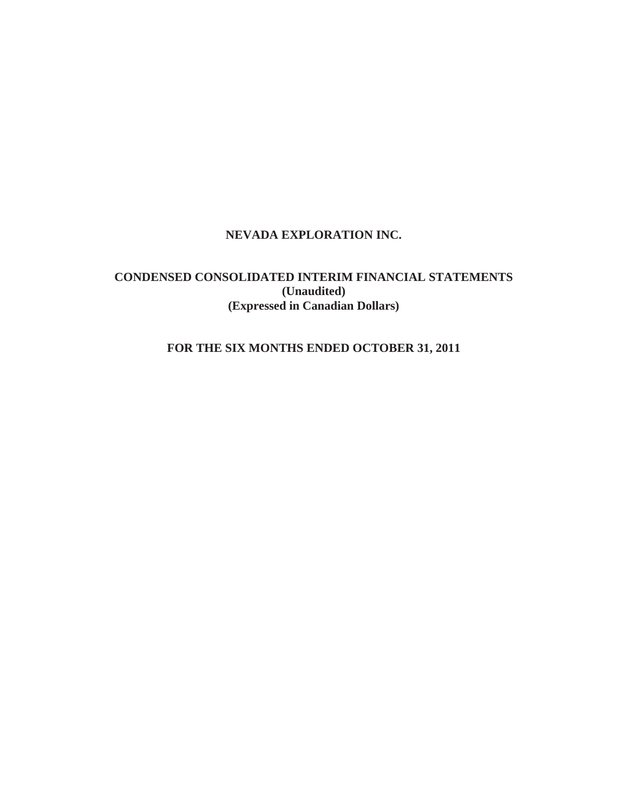# **NEVADA EXPLORATION INC.**

# **CONDENSED CONSOLIDATED INTERIM FINANCIAL STATEMENTS (Unaudited) (Expressed in Canadian Dollars)**

# **FOR THE SIX MONTHS ENDED OCTOBER 31, 2011**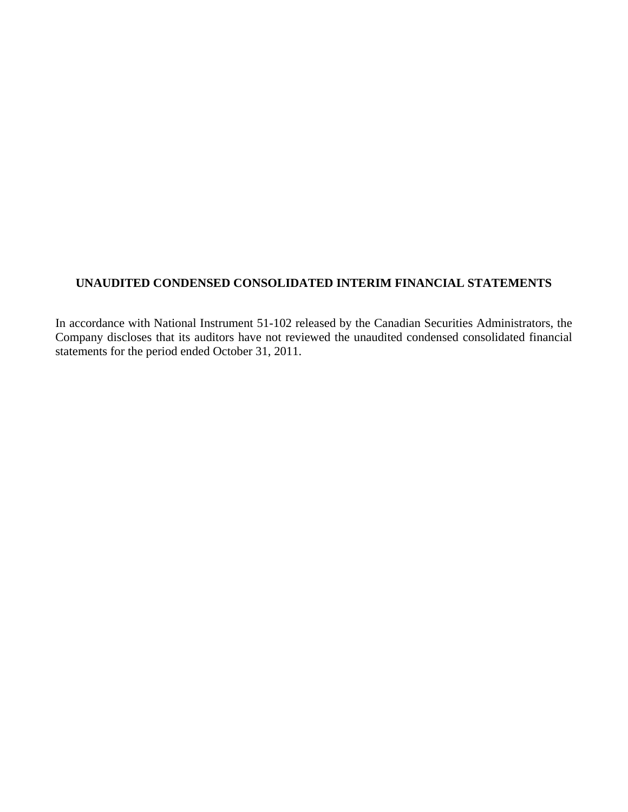# **UNAUDITED CONDENSED CONSOLIDATED INTERIM FINANCIAL STATEMENTS**

In accordance with National Instrument 51-102 released by the Canadian Securities Administrators, the Company discloses that its auditors have not reviewed the unaudited condensed consolidated financial statements for the period ended October 31, 2011.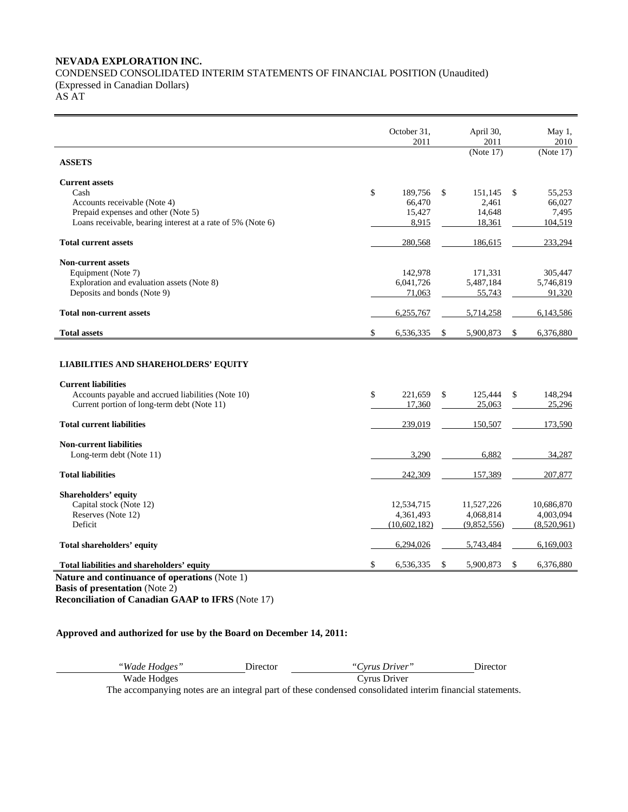# **NEVADA EXPLORATION INC.**  CONDENSED CONSOLIDATED INTERIM STATEMENTS OF FINANCIAL POSITION (Unaudited) (Expressed in Canadian Dollars)

AS AT

|                                                                                                                                                                     | October 31,<br>2011                        |    | April 30,<br>2011                      | May 1,<br>2010                             |
|---------------------------------------------------------------------------------------------------------------------------------------------------------------------|--------------------------------------------|----|----------------------------------------|--------------------------------------------|
| <b>ASSETS</b>                                                                                                                                                       |                                            |    | (Note 17)                              | (Note 17)                                  |
| <b>Current assets</b><br>Cash<br>Accounts receivable (Note 4)<br>Prepaid expenses and other (Note 5)<br>Loans receivable, bearing interest at a rate of 5% (Note 6) | \$<br>189,756<br>66,470<br>15,427<br>8,915 | \$ | 151,145<br>2,461<br>14,648<br>18,361   | \$<br>55,253<br>66,027<br>7,495<br>104,519 |
| <b>Total current assets</b>                                                                                                                                         | 280,568                                    |    | 186,615                                | 233,294                                    |
| <b>Non-current assets</b><br>Equipment (Note 7)<br>Exploration and evaluation assets (Note 8)<br>Deposits and bonds (Note 9)                                        | 142,978<br>6,041,726<br>71,063             |    | 171,331<br>5,487,184<br>55,743         | 305,447<br>5,746,819<br>91,320             |
| <b>Total non-current assets</b>                                                                                                                                     | 6,255,767                                  |    | 5,714,258                              | 6,143,586                                  |
| <b>Total assets</b>                                                                                                                                                 | \$<br>6,536,335                            | S  | 5,900,873                              | \$<br>6,376,880                            |
| <b>LIABILITIES AND SHAREHOLDERS' EQUITY</b><br><b>Current liabilities</b><br>Accounts payable and accrued liabilities (Note 10)                                     | \$<br>221,659                              | \$ | 125.444                                | \$<br>148,294                              |
| Current portion of long-term debt (Note 11)                                                                                                                         | 17,360                                     |    | 25,063                                 | 25,296                                     |
| <b>Total current liabilities</b>                                                                                                                                    | 239,019                                    |    | 150,507                                | 173,590                                    |
| <b>Non-current liabilities</b><br>Long-term debt (Note 11)                                                                                                          | 3.290                                      |    | 6,882                                  | 34.287                                     |
| <b>Total liabilities</b>                                                                                                                                            | 242,309                                    |    | 157,389                                | 207,877                                    |
| <b>Shareholders' equity</b><br>Capital stock (Note 12)<br>Reserves (Note 12)<br>Deficit                                                                             | 12,534,715<br>4,361,493<br>(10,602,182)    |    | 11,527,226<br>4,068,814<br>(9,852,556) | 10,686,870<br>4,003,094<br>(8,520,961)     |
| Total shareholders' equity                                                                                                                                          | 6,294,026                                  |    | 5,743,484                              | 6,169,003                                  |
| Total liabilities and shareholders' equity                                                                                                                          | \$<br>6,536,335                            | \$ | 5,900,873                              | \$<br>6,376,880                            |

**Nature and continuance of operations** (Note 1) **Basis of presentation** (Note 2)

**Reconciliation of Canadian GAAP to IFRS** (Note 17)

# **Approved and authorized for use by the Board on December 14, 2011:**

| "Wade Hodges" | Director | "Cyrus Driver"                                                                                            | Director |
|---------------|----------|-----------------------------------------------------------------------------------------------------------|----------|
| Wade Hodges   |          | Cyrus Driver                                                                                              |          |
|               |          | The accompanying notes are an integral part of these condensed consolidated interim financial statements. |          |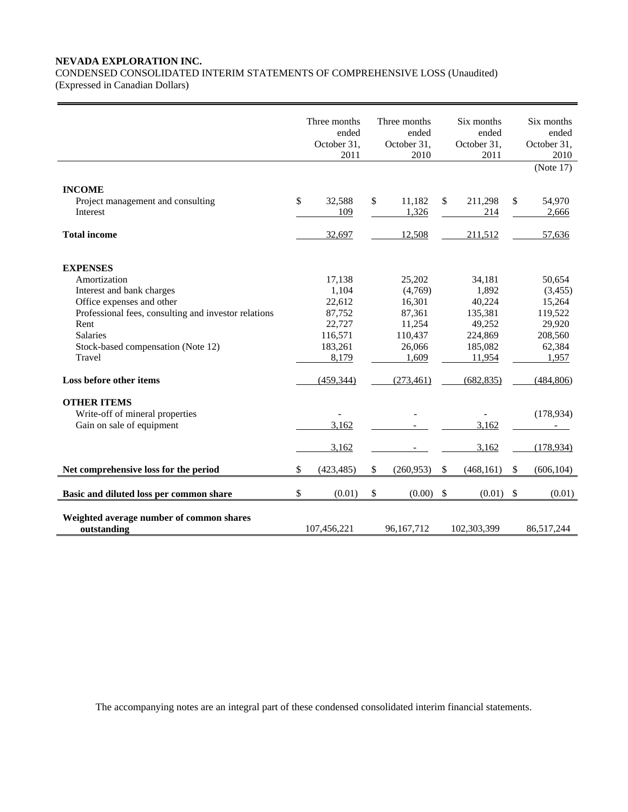# **NEVADA EXPLORATION INC.**

CONDENSED CONSOLIDATED INTERIM STATEMENTS OF COMPREHENSIVE LOSS (Unaudited) (Expressed in Canadian Dollars)

|                                                                                                                                                                                                                                                         | Three months<br>ended<br>October 31,<br>2011                                               | Three months<br>ended<br>October 31,<br>2010                                                |                           | Six months<br>ended<br>October 31,<br>2011                                                   |               | Six months<br>ended<br>October 31,<br>2010<br>(Note 17)                                       |
|---------------------------------------------------------------------------------------------------------------------------------------------------------------------------------------------------------------------------------------------------------|--------------------------------------------------------------------------------------------|---------------------------------------------------------------------------------------------|---------------------------|----------------------------------------------------------------------------------------------|---------------|-----------------------------------------------------------------------------------------------|
| <b>INCOME</b>                                                                                                                                                                                                                                           |                                                                                            |                                                                                             |                           |                                                                                              |               |                                                                                               |
| Project management and consulting                                                                                                                                                                                                                       | \$<br>32,588                                                                               | \$<br>11,182                                                                                | $\mathbb{S}$              | 211,298                                                                                      | \$            | 54,970                                                                                        |
| Interest                                                                                                                                                                                                                                                | 109                                                                                        | 1,326                                                                                       |                           | 214                                                                                          |               | 2,666                                                                                         |
|                                                                                                                                                                                                                                                         |                                                                                            |                                                                                             |                           |                                                                                              |               |                                                                                               |
| <b>Total income</b>                                                                                                                                                                                                                                     | 32,697                                                                                     | 12,508                                                                                      |                           | 211,512                                                                                      |               | 57,636                                                                                        |
| <b>EXPENSES</b><br>Amortization<br>Interest and bank charges<br>Office expenses and other<br>Professional fees, consulting and investor relations<br>Rent<br><b>Salaries</b><br>Stock-based compensation (Note 12)<br>Travel<br>Loss before other items | 17,138<br>1.104<br>22,612<br>87,752<br>22,727<br>116,571<br>183,261<br>8,179<br>(459, 344) | 25,202<br>(4,769)<br>16,301<br>87,361<br>11,254<br>110,437<br>26,066<br>1,609<br>(273, 461) |                           | 34.181<br>1,892<br>40,224<br>135,381<br>49,252<br>224,869<br>185,082<br>11,954<br>(682, 835) |               | 50,654<br>(3, 455)<br>15,264<br>119,522<br>29,920<br>208,560<br>62,384<br>1,957<br>(484, 806) |
|                                                                                                                                                                                                                                                         |                                                                                            |                                                                                             |                           |                                                                                              |               |                                                                                               |
| <b>OTHER ITEMS</b>                                                                                                                                                                                                                                      |                                                                                            |                                                                                             |                           |                                                                                              |               |                                                                                               |
| Write-off of mineral properties                                                                                                                                                                                                                         |                                                                                            |                                                                                             |                           |                                                                                              |               | (178, 934)                                                                                    |
| Gain on sale of equipment                                                                                                                                                                                                                               | 3,162                                                                                      |                                                                                             |                           | 3,162                                                                                        |               |                                                                                               |
|                                                                                                                                                                                                                                                         | 3,162                                                                                      |                                                                                             |                           | 3,162                                                                                        |               | (178,934)                                                                                     |
| Net comprehensive loss for the period                                                                                                                                                                                                                   | \$<br>(423, 485)                                                                           | \$<br>(260,953)                                                                             | \$                        | (468, 161)                                                                                   | S.            | (606, 104)                                                                                    |
|                                                                                                                                                                                                                                                         |                                                                                            |                                                                                             |                           |                                                                                              |               |                                                                                               |
| Basic and diluted loss per common share                                                                                                                                                                                                                 | \$<br>(0.01)                                                                               | \$<br>(0.00)                                                                                | $\boldsymbol{\mathsf{S}}$ | (0.01)                                                                                       | $\mathcal{S}$ | (0.01)                                                                                        |
| Weighted average number of common shares<br>outstanding                                                                                                                                                                                                 | 107.456.221                                                                                | 96.167.712                                                                                  |                           | 102,303,399                                                                                  |               | 86,517,244                                                                                    |

The accompanying notes are an integral part of these condensed consolidated interim financial statements.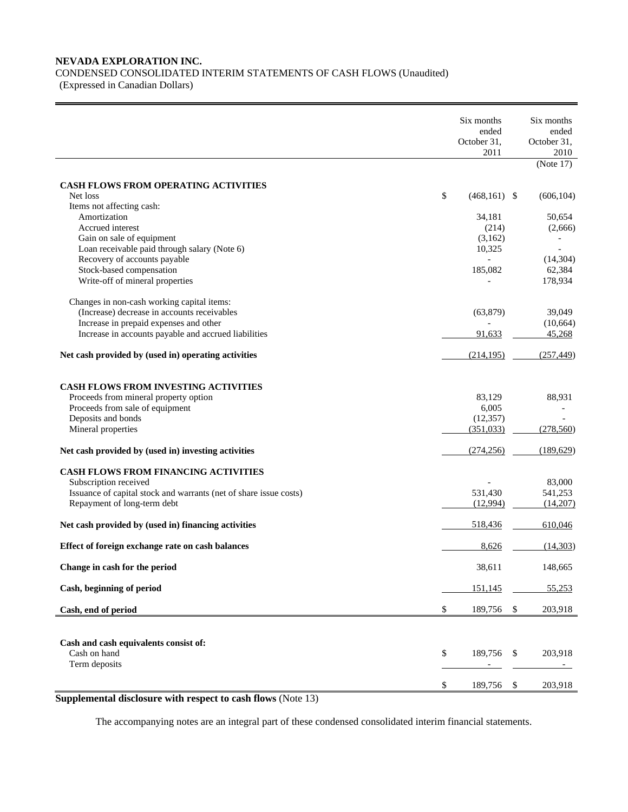# **NEVADA EXPLORATION INC.**

CONDENSED CONSOLIDATED INTERIM STATEMENTS OF CASH FLOWS (Unaudited)

(Expressed in Canadian Dollars)

|                                                                   | Six months<br>ended   | Six months<br>ended |
|-------------------------------------------------------------------|-----------------------|---------------------|
|                                                                   | October 31,<br>2011   | October 31,<br>2010 |
|                                                                   |                       | (Note 17)           |
| CASH FLOWS FROM OPERATING ACTIVITIES                              |                       |                     |
| Net loss                                                          | \$<br>$(468, 161)$ \$ | (606, 104)          |
| Items not affecting cash:                                         |                       |                     |
| Amortization                                                      | 34,181                | 50,654              |
| Accrued interest                                                  | (214)                 | (2,666)             |
| Gain on sale of equipment                                         | (3,162)               |                     |
| Loan receivable paid through salary (Note 6)                      | 10,325                |                     |
| Recovery of accounts payable                                      |                       | (14, 304)           |
| Stock-based compensation                                          | 185,082               | 62,384              |
| Write-off of mineral properties                                   |                       | 178,934             |
| Changes in non-cash working capital items:                        |                       |                     |
| (Increase) decrease in accounts receivables                       | (63, 879)             | 39,049              |
| Increase in prepaid expenses and other                            |                       | (10,664)            |
| Increase in accounts payable and accrued liabilities              | 91,633                | 45,268              |
| Net cash provided by (used in) operating activities               | (214, 195)            | (257, 449)          |
|                                                                   |                       |                     |
| CASH FLOWS FROM INVESTING ACTIVITIES                              |                       |                     |
| Proceeds from mineral property option                             | 83,129                | 88,931              |
| Proceeds from sale of equipment                                   | 6,005                 |                     |
| Deposits and bonds                                                | (12, 357)             |                     |
| Mineral properties                                                | (351,033)             | (278, 560)          |
| Net cash provided by (used in) investing activities               | (274, 256)            | (189, 629)          |
| <b>CASH FLOWS FROM FINANCING ACTIVITIES</b>                       |                       |                     |
| Subscription received                                             |                       | 83,000              |
| Issuance of capital stock and warrants (net of share issue costs) | 531,430               | 541,253             |
| Repayment of long-term debt                                       | (12,994)              | (14,207)            |
| Net cash provided by (used in) financing activities               | 518,436               | 610,046             |
| Effect of foreign exchange rate on cash balances                  | 8,626                 | (14,303)            |
| Change in cash for the period                                     | 38,611                | 148,665             |
| Cash, beginning of period                                         | 151,145               | 55,253              |
| Cash, end of period                                               | \$<br>189,756         | \$<br>203,918       |
|                                                                   |                       |                     |
| Cash and cash equivalents consist of:                             |                       |                     |
| Cash on hand<br>Term deposits                                     | \$<br>189,756         | \$<br>203,918       |
|                                                                   |                       |                     |
|                                                                   | \$<br>189,756         | \$<br>203,918       |

**Supplemental disclosure with respect to cash flows** (Note 13)

The accompanying notes are an integral part of these condensed consolidated interim financial statements.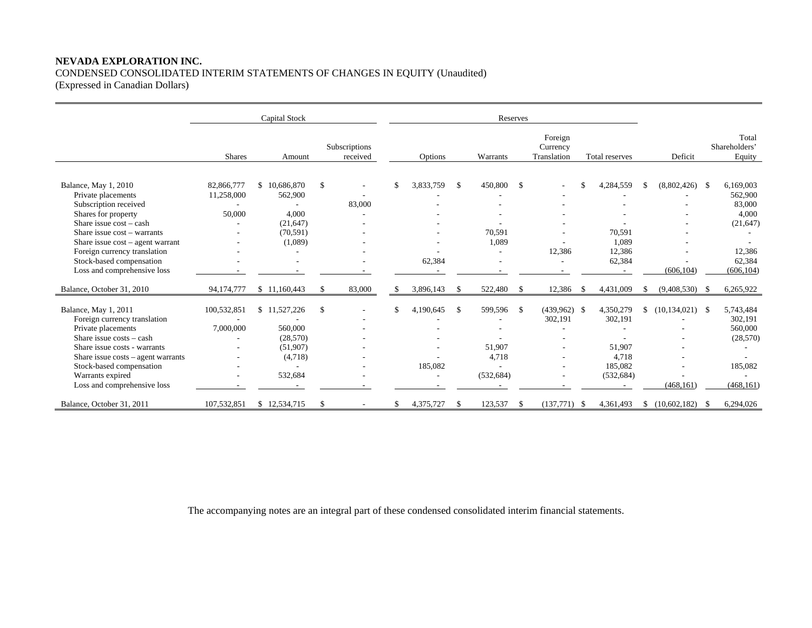# **NEVADA EXPLORATION INC.**  CONDENSED CONSOLIDATED INTERIM STATEMENTS OF CHANGES IN EQUITY (Unaudited)

(Expressed in Canadian Dollars)

|                                    |               | <b>Capital Stock</b> |                           | Reserves |           |     |            |              |                                    |      |                |    |                     |                                  |
|------------------------------------|---------------|----------------------|---------------------------|----------|-----------|-----|------------|--------------|------------------------------------|------|----------------|----|---------------------|----------------------------------|
|                                    | <b>Shares</b> | Amount               | Subscriptions<br>received |          | Options   |     | Warrants   |              | Foreign<br>Currency<br>Translation |      | Total reserves |    | Deficit             | Total<br>Shareholders'<br>Equity |
|                                    |               |                      |                           |          |           |     |            |              |                                    |      |                |    |                     |                                  |
| Balance, May 1, 2010               | 82,866,777    | \$10,686,870         | \$                        |          | 3,833,759 | -\$ | 450,800    | \$           |                                    |      | 4,284,559      |    | $(8,802,426)$ \$    | 6,169,003                        |
| Private placements                 | 11,258,000    | 562,900              |                           |          |           |     |            |              |                                    |      |                |    |                     | 562,900                          |
| Subscription received              |               |                      | 83,000                    |          |           |     |            |              |                                    |      |                |    |                     | 83,000                           |
| Shares for property                | 50,000        | 4,000                |                           |          |           |     |            |              |                                    |      |                |    |                     | 4,000                            |
| Share issue $cost - cash$          |               | (21, 647)            |                           |          |           |     |            |              |                                    |      |                |    |                     | (21, 647)                        |
| Share issue cost - warrants        |               | (70, 591)            |                           |          |           |     | 70,591     |              |                                    |      | 70,591         |    |                     |                                  |
| Share issue $cost$ – agent warrant |               | (1,089)              |                           |          |           |     | 1,089      |              |                                    |      | 1.089          |    |                     |                                  |
| Foreign currency translation       |               |                      |                           |          |           |     |            |              | 12,386                             |      | 12,386         |    |                     | 12,386                           |
| Stock-based compensation           |               |                      |                           |          | 62,384    |     |            |              |                                    |      | 62,384         |    |                     | 62,384                           |
| Loss and comprehensive loss        |               |                      |                           |          |           |     |            |              |                                    |      |                |    | (606, 104)          | (606, 104)                       |
| Balance, October 31, 2010          | 94,174,777    | \$11,160,443         | \$<br>83,000              |          | 3,896,143 | -\$ | 522,480    | $\mathbb{S}$ | 12,386                             | - \$ | 4,431,009      |    | $(9,408,530)$ \$    | 6,265,922                        |
|                                    |               |                      |                           |          |           |     |            |              |                                    |      |                |    |                     |                                  |
| Balance, May 1, 2011               | 100,532,851   | \$11,527,226         | \$                        |          | 4,190,645 | -S  | 599,596    | \$           | $(439,962)$ \$                     |      | 4,350,279      | S. | $(10, 134, 021)$ \$ | 5,743,484                        |
| Foreign currency translation       |               |                      |                           |          |           |     |            |              | 302,191                            |      | 302,191        |    |                     | 302,191                          |
| Private placements                 | 7,000,000     | 560,000              |                           |          |           |     |            |              |                                    |      |                |    |                     | 560,000                          |
| Share issue $costs - cash$         |               | (28, 570)            |                           |          |           |     |            |              |                                    |      |                |    |                     | (28, 570)                        |
| Share issue costs - warrants       |               | (51,907)             |                           |          |           |     | 51,907     |              |                                    |      | 51,907         |    |                     |                                  |
| Share issue costs - agent warrants |               | (4,718)              |                           |          |           |     | 4,718      |              |                                    |      | 4,718          |    |                     |                                  |
| Stock-based compensation           |               |                      |                           |          | 185,082   |     |            |              |                                    |      | 185.082        |    |                     | 185.082                          |
| Warrants expired                   |               | 532,684              |                           |          |           |     | (532, 684) |              |                                    |      | (532, 684)     |    |                     |                                  |
| Loss and comprehensive loss        |               |                      |                           |          |           |     |            |              |                                    |      | $\sim$         |    | (468.161)           | (468.161)                        |
| Balance, October 31, 2011          | 107,532,851   | \$12,534,715         | \$                        |          | 4,375,727 |     | 123,537    | -\$          | $(137,771)$ \$                     |      | 4,361,493      | S. | $(10,602,182)$ \$   | 6,294,026                        |

The accompanying notes are an integral part of these condensed consolidated interim financial statements.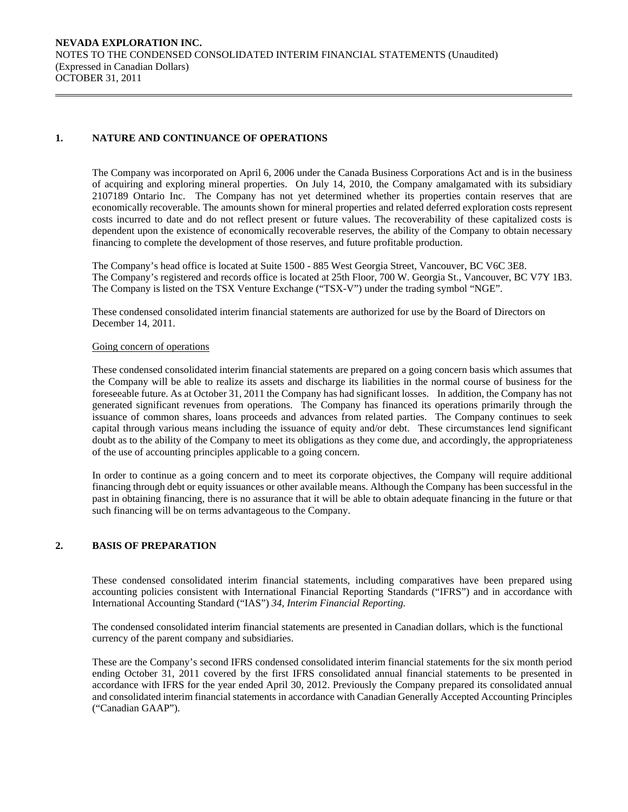# **1. NATURE AND CONTINUANCE OF OPERATIONS**

The Company was incorporated on April 6, 2006 under the Canada Business Corporations Act and is in the business of acquiring and exploring mineral properties. On July 14, 2010, the Company amalgamated with its subsidiary 2107189 Ontario Inc. The Company has not yet determined whether its properties contain reserves that are economically recoverable. The amounts shown for mineral properties and related deferred exploration costs represent costs incurred to date and do not reflect present or future values. The recoverability of these capitalized costs is dependent upon the existence of economically recoverable reserves, the ability of the Company to obtain necessary financing to complete the development of those reserves, and future profitable production.

The Company's head office is located at Suite 1500 - 885 West Georgia Street, Vancouver, BC V6C 3E8. The Company's registered and records office is located at 25th Floor, 700 W. Georgia St., Vancouver, BC V7Y 1B3. The Company is listed on the TSX Venture Exchange ("TSX-V") under the trading symbol "NGE".

 These condensed consolidated interim financial statements are authorized for use by the Board of Directors on December 14, 2011.

#### Going concern of operations

These condensed consolidated interim financial statements are prepared on a going concern basis which assumes that the Company will be able to realize its assets and discharge its liabilities in the normal course of business for the foreseeable future. As at October 31, 2011 the Company has had significant losses. In addition, the Company has not generated significant revenues from operations. The Company has financed its operations primarily through the issuance of common shares, loans proceeds and advances from related parties. The Company continues to seek capital through various means including the issuance of equity and/or debt. These circumstances lend significant doubt as to the ability of the Company to meet its obligations as they come due, and accordingly, the appropriateness of the use of accounting principles applicable to a going concern.

In order to continue as a going concern and to meet its corporate objectives, the Company will require additional financing through debt or equity issuances or other available means. Although the Company has been successful in the past in obtaining financing, there is no assurance that it will be able to obtain adequate financing in the future or that such financing will be on terms advantageous to the Company.

# **2. BASIS OF PREPARATION**

 These condensed consolidated interim financial statements, including comparatives have been prepared using accounting policies consistent with International Financial Reporting Standards ("IFRS") and in accordance with International Accounting Standard ("IAS") *34, Interim Financial Reporting.* 

The condensed consolidated interim financial statements are presented in Canadian dollars, which is the functional currency of the parent company and subsidiaries.

 These are the Company's second IFRS condensed consolidated interim financial statements for the six month period ending October 31, 2011 covered by the first IFRS consolidated annual financial statements to be presented in accordance with IFRS for the year ended April 30, 2012. Previously the Company prepared its consolidated annual and consolidated interim financial statements in accordance with Canadian Generally Accepted Accounting Principles ("Canadian GAAP").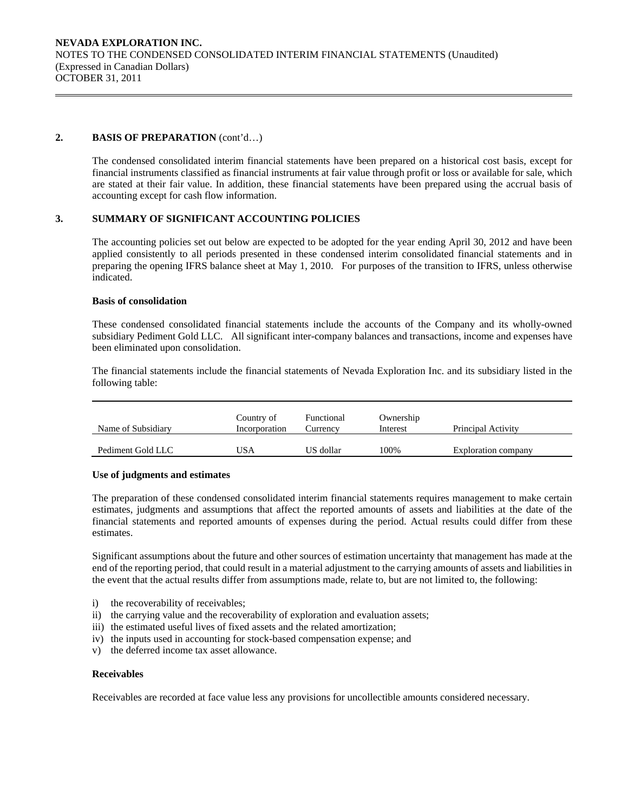## **2. BASIS OF PREPARATION** (cont'd…)

The condensed consolidated interim financial statements have been prepared on a historical cost basis, except for financial instruments classified as financial instruments at fair value through profit or loss or available for sale, which are stated at their fair value. In addition, these financial statements have been prepared using the accrual basis of accounting except for cash flow information.

## **3. SUMMARY OF SIGNIFICANT ACCOUNTING POLICIES**

 The accounting policies set out below are expected to be adopted for the year ending April 30, 2012 and have been applied consistently to all periods presented in these condensed interim consolidated financial statements and in preparing the opening IFRS balance sheet at May 1, 2010. For purposes of the transition to IFRS, unless otherwise indicated.

#### **Basis of consolidation**

 These condensed consolidated financial statements include the accounts of the Company and its wholly-owned subsidiary Pediment Gold LLC. All significant inter-company balances and transactions, income and expenses have been eliminated upon consolidation.

The financial statements include the financial statements of Nevada Exploration Inc. and its subsidiary listed in the following table:

| Name of Subsidiary | Country of<br>Incorporation | Functional<br>Currency | Ownership<br>Interest | Principal Activity  |
|--------------------|-----------------------------|------------------------|-----------------------|---------------------|
| Pediment Gold LLC  | JSA                         | US dollar              | 100%                  | Exploration company |

#### **Use of judgments and estimates**

The preparation of these condensed consolidated interim financial statements requires management to make certain estimates, judgments and assumptions that affect the reported amounts of assets and liabilities at the date of the financial statements and reported amounts of expenses during the period. Actual results could differ from these estimates.

 Significant assumptions about the future and other sources of estimation uncertainty that management has made at the end of the reporting period, that could result in a material adjustment to the carrying amounts of assets and liabilities in the event that the actual results differ from assumptions made, relate to, but are not limited to, the following:

- i) the recoverability of receivables;
- ii) the carrying value and the recoverability of exploration and evaluation assets;
- iii) the estimated useful lives of fixed assets and the related amortization;
- iv) the inputs used in accounting for stock-based compensation expense; and
- v) the deferred income tax asset allowance.

#### **Receivables**

Receivables are recorded at face value less any provisions for uncollectible amounts considered necessary.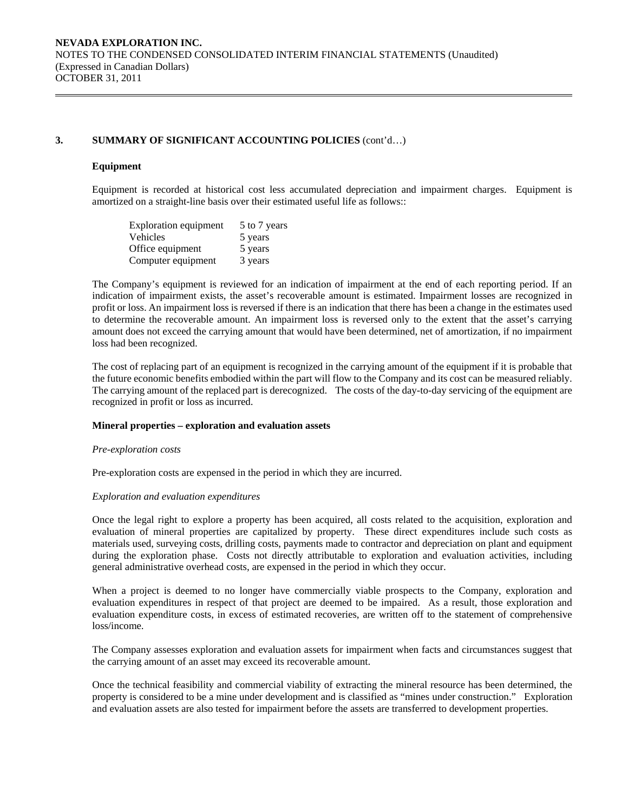#### **Equipment**

Equipment is recorded at historical cost less accumulated depreciation and impairment charges. Equipment is amortized on a straight-line basis over their estimated useful life as follows::

| <b>Exploration equipment</b> | 5 to 7 years |
|------------------------------|--------------|
| Vehicles                     | 5 years      |
| Office equipment             | 5 years      |
| Computer equipment           | 3 years      |

The Company's equipment is reviewed for an indication of impairment at the end of each reporting period. If an indication of impairment exists, the asset's recoverable amount is estimated. Impairment losses are recognized in profit or loss. An impairment loss is reversed if there is an indication that there has been a change in the estimates used to determine the recoverable amount. An impairment loss is reversed only to the extent that the asset's carrying amount does not exceed the carrying amount that would have been determined, net of amortization, if no impairment loss had been recognized.

The cost of replacing part of an equipment is recognized in the carrying amount of the equipment if it is probable that the future economic benefits embodied within the part will flow to the Company and its cost can be measured reliably. The carrying amount of the replaced part is derecognized. The costs of the day-to-day servicing of the equipment are recognized in profit or loss as incurred.

#### **Mineral properties – exploration and evaluation assets**

#### *Pre-exploration costs*

Pre-exploration costs are expensed in the period in which they are incurred.

#### *Exploration and evaluation expenditures*

 Once the legal right to explore a property has been acquired, all costs related to the acquisition, exploration and evaluation of mineral properties are capitalized by property. These direct expenditures include such costs as materials used, surveying costs, drilling costs, payments made to contractor and depreciation on plant and equipment during the exploration phase. Costs not directly attributable to exploration and evaluation activities, including general administrative overhead costs, are expensed in the period in which they occur.

 When a project is deemed to no longer have commercially viable prospects to the Company, exploration and evaluation expenditures in respect of that project are deemed to be impaired. As a result, those exploration and evaluation expenditure costs, in excess of estimated recoveries, are written off to the statement of comprehensive loss/income.

 The Company assesses exploration and evaluation assets for impairment when facts and circumstances suggest that the carrying amount of an asset may exceed its recoverable amount.

 Once the technical feasibility and commercial viability of extracting the mineral resource has been determined, the property is considered to be a mine under development and is classified as "mines under construction." Exploration and evaluation assets are also tested for impairment before the assets are transferred to development properties.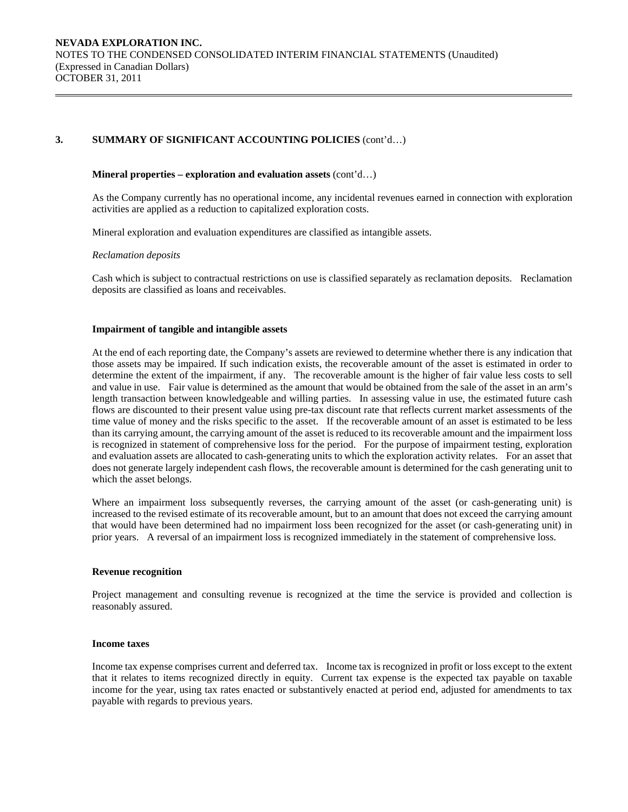#### **Mineral properties – exploration and evaluation assets** (cont'd…)

 As the Company currently has no operational income, any incidental revenues earned in connection with exploration activities are applied as a reduction to capitalized exploration costs.

Mineral exploration and evaluation expenditures are classified as intangible assets.

#### *Reclamation deposits*

 Cash which is subject to contractual restrictions on use is classified separately as reclamation deposits. Reclamation deposits are classified as loans and receivables.

#### **Impairment of tangible and intangible assets**

At the end of each reporting date, the Company's assets are reviewed to determine whether there is any indication that those assets may be impaired. If such indication exists, the recoverable amount of the asset is estimated in order to determine the extent of the impairment, if any. The recoverable amount is the higher of fair value less costs to sell and value in use. Fair value is determined as the amount that would be obtained from the sale of the asset in an arm's length transaction between knowledgeable and willing parties. In assessing value in use, the estimated future cash flows are discounted to their present value using pre-tax discount rate that reflects current market assessments of the time value of money and the risks specific to the asset. If the recoverable amount of an asset is estimated to be less than its carrying amount, the carrying amount of the asset is reduced to its recoverable amount and the impairment loss is recognized in statement of comprehensive loss for the period. For the purpose of impairment testing, exploration and evaluation assets are allocated to cash-generating units to which the exploration activity relates. For an asset that does not generate largely independent cash flows, the recoverable amount is determined for the cash generating unit to which the asset belongs.

Where an impairment loss subsequently reverses, the carrying amount of the asset (or cash-generating unit) is increased to the revised estimate of its recoverable amount, but to an amount that does not exceed the carrying amount that would have been determined had no impairment loss been recognized for the asset (or cash-generating unit) in prior years. A reversal of an impairment loss is recognized immediately in the statement of comprehensive loss.

#### **Revenue recognition**

Project management and consulting revenue is recognized at the time the service is provided and collection is reasonably assured.

#### **Income taxes**

Income tax expense comprises current and deferred tax. Income tax is recognized in profit or loss except to the extent that it relates to items recognized directly in equity. Current tax expense is the expected tax payable on taxable income for the year, using tax rates enacted or substantively enacted at period end, adjusted for amendments to tax payable with regards to previous years.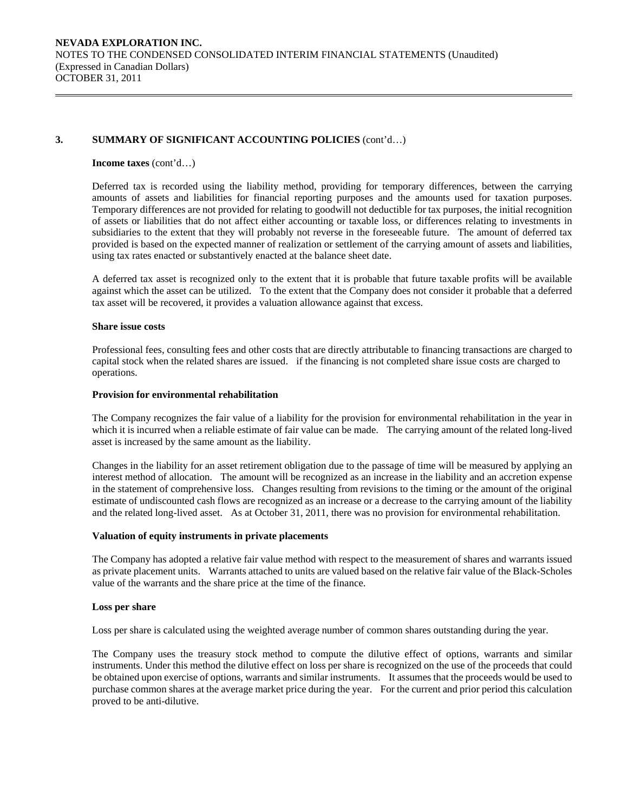#### **Income taxes** (cont'd…)

Deferred tax is recorded using the liability method, providing for temporary differences, between the carrying amounts of assets and liabilities for financial reporting purposes and the amounts used for taxation purposes. Temporary differences are not provided for relating to goodwill not deductible for tax purposes, the initial recognition of assets or liabilities that do not affect either accounting or taxable loss, or differences relating to investments in subsidiaries to the extent that they will probably not reverse in the foreseeable future. The amount of deferred tax provided is based on the expected manner of realization or settlement of the carrying amount of assets and liabilities, using tax rates enacted or substantively enacted at the balance sheet date.

A deferred tax asset is recognized only to the extent that it is probable that future taxable profits will be available against which the asset can be utilized. To the extent that the Company does not consider it probable that a deferred tax asset will be recovered, it provides a valuation allowance against that excess.

#### **Share issue costs**

 Professional fees, consulting fees and other costs that are directly attributable to financing transactions are charged to capital stock when the related shares are issued. if the financing is not completed share issue costs are charged to operations.

#### **Provision for environmental rehabilitation**

The Company recognizes the fair value of a liability for the provision for environmental rehabilitation in the year in which it is incurred when a reliable estimate of fair value can be made. The carrying amount of the related long-lived asset is increased by the same amount as the liability.

Changes in the liability for an asset retirement obligation due to the passage of time will be measured by applying an interest method of allocation. The amount will be recognized as an increase in the liability and an accretion expense in the statement of comprehensive loss. Changes resulting from revisions to the timing or the amount of the original estimate of undiscounted cash flows are recognized as an increase or a decrease to the carrying amount of the liability and the related long-lived asset. As at October 31, 2011, there was no provision for environmental rehabilitation.

### **Valuation of equity instruments in private placements**

The Company has adopted a relative fair value method with respect to the measurement of shares and warrants issued as private placement units. Warrants attached to units are valued based on the relative fair value of the Black-Scholes value of the warrants and the share price at the time of the finance.

#### **Loss per share**

Loss per share is calculated using the weighted average number of common shares outstanding during the year.

 The Company uses the treasury stock method to compute the dilutive effect of options, warrants and similar instruments. Under this method the dilutive effect on loss per share is recognized on the use of the proceeds that could be obtained upon exercise of options, warrants and similar instruments. It assumes that the proceeds would be used to purchase common shares at the average market price during the year. For the current and prior period this calculation proved to be anti-dilutive.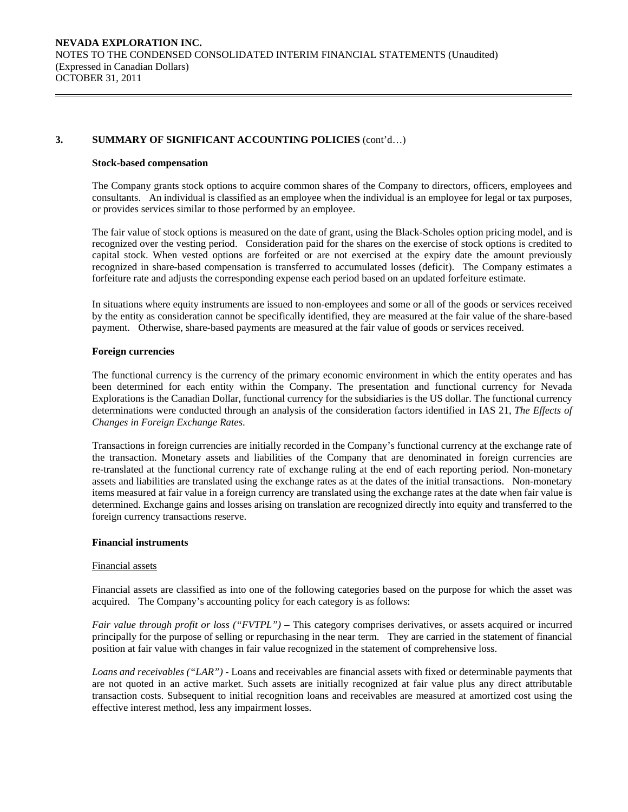#### **Stock-based compensation**

The Company grants stock options to acquire common shares of the Company to directors, officers, employees and consultants. An individual is classified as an employee when the individual is an employee for legal or tax purposes, or provides services similar to those performed by an employee.

The fair value of stock options is measured on the date of grant, using the Black-Scholes option pricing model, and is recognized over the vesting period. Consideration paid for the shares on the exercise of stock options is credited to capital stock. When vested options are forfeited or are not exercised at the expiry date the amount previously recognized in share-based compensation is transferred to accumulated losses (deficit). The Company estimates a forfeiture rate and adjusts the corresponding expense each period based on an updated forfeiture estimate.

In situations where equity instruments are issued to non-employees and some or all of the goods or services received by the entity as consideration cannot be specifically identified, they are measured at the fair value of the share-based payment. Otherwise, share-based payments are measured at the fair value of goods or services received.

#### **Foreign currencies**

 The functional currency is the currency of the primary economic environment in which the entity operates and has been determined for each entity within the Company. The presentation and functional currency for Nevada Explorations is the Canadian Dollar, functional currency for the subsidiaries is the US dollar. The functional currency determinations were conducted through an analysis of the consideration factors identified in IAS 21, *The Effects of Changes in Foreign Exchange Rates*.

 Transactions in foreign currencies are initially recorded in the Company's functional currency at the exchange rate of the transaction. Monetary assets and liabilities of the Company that are denominated in foreign currencies are re-translated at the functional currency rate of exchange ruling at the end of each reporting period. Non-monetary assets and liabilities are translated using the exchange rates as at the dates of the initial transactions. Non-monetary items measured at fair value in a foreign currency are translated using the exchange rates at the date when fair value is determined. Exchange gains and losses arising on translation are recognized directly into equity and transferred to the foreign currency transactions reserve.

## **Financial instruments**

#### Financial assets

Financial assets are classified as into one of the following categories based on the purpose for which the asset was acquired. The Company's accounting policy for each category is as follows:

*Fair value through profit or loss ("FVTPL")* – This category comprises derivatives, or assets acquired or incurred principally for the purpose of selling or repurchasing in the near term. They are carried in the statement of financial position at fair value with changes in fair value recognized in the statement of comprehensive loss.

*Loans and receivables ("LAR") -* Loans and receivables are financial assets with fixed or determinable payments that are not quoted in an active market. Such assets are initially recognized at fair value plus any direct attributable transaction costs. Subsequent to initial recognition loans and receivables are measured at amortized cost using the effective interest method, less any impairment losses.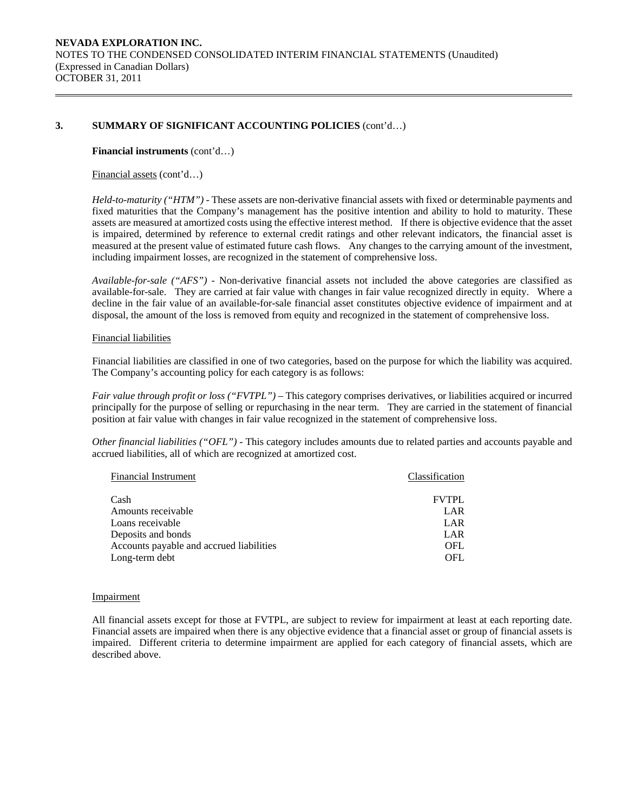#### **Financial instruments** (cont'd…)

### Financial assets (cont'd…)

*Held-to-maturity ("HTM") -* These assets are non-derivative financial assets with fixed or determinable payments and fixed maturities that the Company's management has the positive intention and ability to hold to maturity. These assets are measured at amortized costs using the effective interest method. If there is objective evidence that the asset is impaired, determined by reference to external credit ratings and other relevant indicators, the financial asset is measured at the present value of estimated future cash flows. Any changes to the carrying amount of the investment, including impairment losses, are recognized in the statement of comprehensive loss.

*Available-for-sale ("AFS") -* Non-derivative financial assets not included the above categories are classified as available-for-sale. They are carried at fair value with changes in fair value recognized directly in equity. Where a decline in the fair value of an available-for-sale financial asset constitutes objective evidence of impairment and at disposal, the amount of the loss is removed from equity and recognized in the statement of comprehensive loss.

#### Financial liabilities

Financial liabilities are classified in one of two categories, based on the purpose for which the liability was acquired. The Company's accounting policy for each category is as follows:

*Fair value through profit or loss ("FVTPL")* – This category comprises derivatives, or liabilities acquired or incurred principally for the purpose of selling or repurchasing in the near term. They are carried in the statement of financial position at fair value with changes in fair value recognized in the statement of comprehensive loss.

*Other financial liabilities ("OFL") -* This category includes amounts due to related parties and accounts payable and accrued liabilities, all of which are recognized at amortized cost.

| <b>Financial Instrument</b>              | Classification |
|------------------------------------------|----------------|
| Cash                                     | <b>FVTPL</b>   |
| Amounts receivable                       | LAR            |
| Loans receivable                         | LAR            |
| Deposits and bonds                       | LAR            |
| Accounts payable and accrued liabilities | OFL.           |
| Long-term debt                           | OFL.           |

#### Impairment

All financial assets except for those at FVTPL, are subject to review for impairment at least at each reporting date. Financial assets are impaired when there is any objective evidence that a financial asset or group of financial assets is impaired. Different criteria to determine impairment are applied for each category of financial assets, which are described above.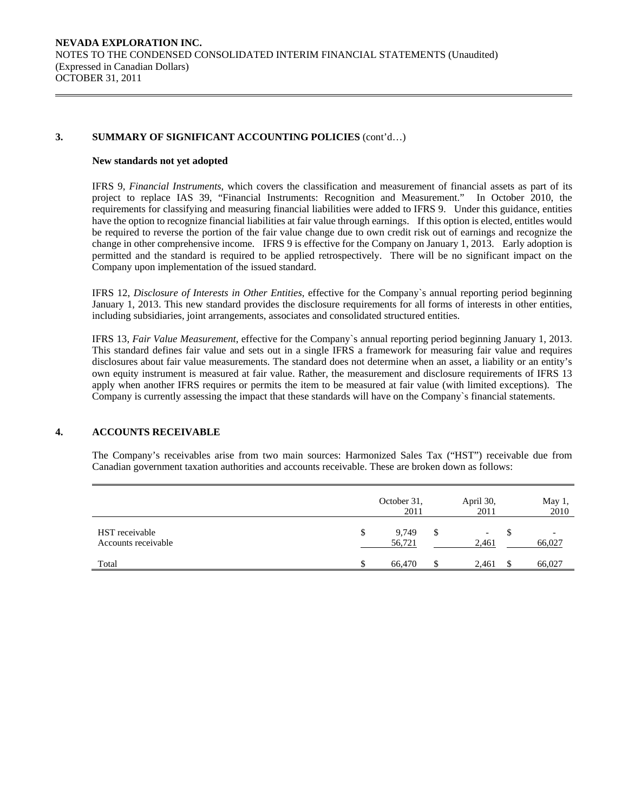#### **New standards not yet adopted**

IFRS 9, *Financial Instruments*, which covers the classification and measurement of financial assets as part of its project to replace IAS 39, "Financial Instruments: Recognition and Measurement." In October 2010, the requirements for classifying and measuring financial liabilities were added to IFRS 9. Under this guidance, entities have the option to recognize financial liabilities at fair value through earnings. If this option is elected, entitles would be required to reverse the portion of the fair value change due to own credit risk out of earnings and recognize the change in other comprehensive income. IFRS 9 is effective for the Company on January 1, 2013. Early adoption is permitted and the standard is required to be applied retrospectively. There will be no significant impact on the Company upon implementation of the issued standard.

IFRS 12, *Disclosure of Interests in Other Entities*, effective for the Company`s annual reporting period beginning January 1, 2013. This new standard provides the disclosure requirements for all forms of interests in other entities, including subsidiaries, joint arrangements, associates and consolidated structured entities.

IFRS 13, *Fair Value Measurement*, effective for the Company`s annual reporting period beginning January 1, 2013. This standard defines fair value and sets out in a single IFRS a framework for measuring fair value and requires disclosures about fair value measurements. The standard does not determine when an asset, a liability or an entity's own equity instrument is measured at fair value. Rather, the measurement and disclosure requirements of IFRS 13 apply when another IFRS requires or permits the item to be measured at fair value (with limited exceptions). The Company is currently assessing the impact that these standards will have on the Company`s financial statements.

# **4. ACCOUNTS RECEIVABLE**

The Company's receivables arise from two main sources: Harmonized Sales Tax ("HST") receivable due from Canadian government taxation authorities and accounts receivable. These are broken down as follows:

|                                       | October 31,<br>2011   |    | April 30,<br>2011 | May 1,<br>2010 |
|---------------------------------------|-----------------------|----|-------------------|----------------|
| HST receivable<br>Accounts receivable | \$<br>9,749<br>56,721 | S  | -<br>2,461        | 66,027         |
| Total                                 | 66,470                | S. | 2,461             | 66,027         |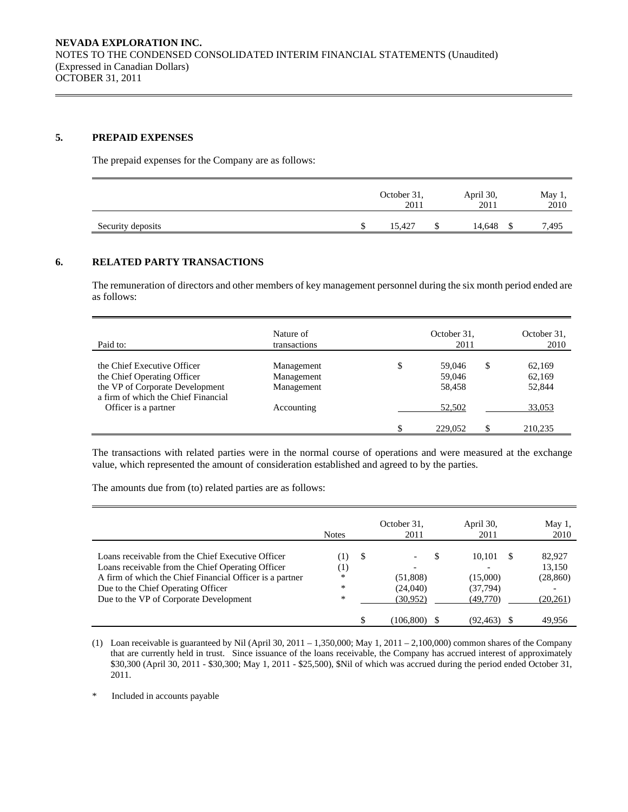### **5. PREPAID EXPENSES**

The prepaid expenses for the Company are as follows:

|                   | October 31,<br>2011 | April 30,<br>2011 | May $1$ ,<br>2010 |      |
|-------------------|---------------------|-------------------|-------------------|------|
| Security deposits | 15,427              |                   | 14,648            | 495. |

# **6. RELATED PARTY TRANSACTIONS**

 The remuneration of directors and other members of key management personnel during the six month period ended are as follows:

| Paid to:                                                                                                                             | Nature of<br>transactions              | October 31,<br>2011              | October 31,<br>2010 |                            |  |
|--------------------------------------------------------------------------------------------------------------------------------------|----------------------------------------|----------------------------------|---------------------|----------------------------|--|
| the Chief Executive Officer<br>the Chief Operating Officer<br>the VP of Corporate Development<br>a firm of which the Chief Financial | Management<br>Management<br>Management | \$<br>59,046<br>59,046<br>58,458 | S                   | 62,169<br>62,169<br>52,844 |  |
| Officer is a partner                                                                                                                 | Accounting                             | 52,502                           |                     | 33,053                     |  |
|                                                                                                                                      |                                        | 229,052                          |                     | 210.235                    |  |

 The transactions with related parties were in the normal course of operations and were measured at the exchange value, which represented the amount of consideration established and agreed to by the parties.

The amounts due from (to) related parties are as follows:

|                                                          | <b>Notes</b> |    | October 31,<br>2011      | April 30,<br>2011 |          | May 1,<br>2010 |
|----------------------------------------------------------|--------------|----|--------------------------|-------------------|----------|----------------|
| Loans receivable from the Chief Executive Officer        | (1)          | -S | $\overline{\phantom{a}}$ | 10.101            | <b>S</b> | 82,927         |
| Loans receivable from the Chief Operating Officer        | (1)          |    |                          |                   |          | 13.150         |
| A firm of which the Chief Financial Officer is a partner | *            |    | (51,808)                 | (15,000)          |          | (28, 860)      |
| Due to the Chief Operating Officer                       | *            |    | (24,040)                 | (37,794)          |          |                |
| Due to the VP of Corporate Development                   | *            |    | (30, 952)                | (49,770)          |          | (20, 261)      |
|                                                          |              |    | (106,800)                | (92,463)          |          | 49.956         |

(1) Loan receivable is guaranteed by Nil (April 30, 2011 – 1,350,000; May 1, 2011 – 2,100,000) common shares of the Company that are currently held in trust. Since issuance of the loans receivable, the Company has accrued interest of approximately \$30,300 (April 30, 2011 - \$30,300; May 1, 2011 - \$25,500), \$Nil of which was accrued during the period ended October 31, 2011.

\* Included in accounts payable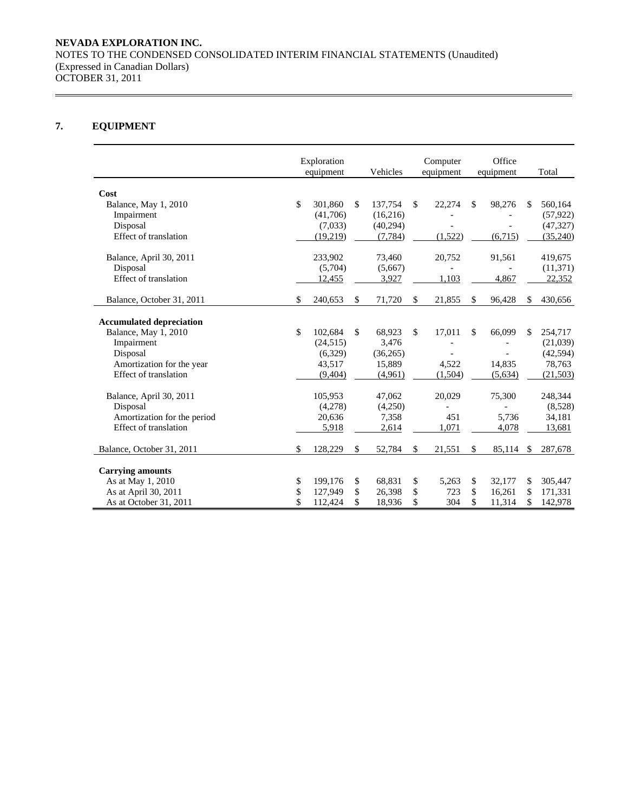# **7. EQUIPMENT**

|                                 | Exploration<br>equipment | Vehicles      | Computer<br>equipment |    | Office<br>equipment |     | Total     |
|---------------------------------|--------------------------|---------------|-----------------------|----|---------------------|-----|-----------|
|                                 |                          |               |                       |    |                     |     |           |
| Cost                            |                          |               |                       |    |                     |     |           |
| Balance, May 1, 2010            | \$<br>301,860            | \$<br>137,754 | \$<br>22,274          | \$ | 98,276              | S.  | 560,164   |
| Impairment                      | (41,706)                 | (16,216)      |                       |    |                     |     | (57, 922) |
| Disposal                        | (7,033)                  | (40,294)      |                       |    |                     |     | (47, 327) |
| Effect of translation           | (19,219)                 | (7, 784)      | (1,522)               |    | (6,715)             |     | (35,240)  |
| Balance, April 30, 2011         | 233,902                  | 73,460        | 20,752                |    | 91,561              |     | 419,675   |
| Disposal                        | (5,704)                  | (5,667)       |                       |    |                     |     | (11, 371) |
| Effect of translation           | 12,455                   | 3,927         | 1,103                 |    | 4,867               |     | 22,352    |
| Balance, October 31, 2011       | \$<br>240,653            | \$<br>71,720  | \$<br>21,855          | \$ | 96,428              | \$. | 430,656   |
| <b>Accumulated depreciation</b> |                          |               |                       |    |                     |     |           |
| Balance, May 1, 2010            | \$<br>102.684            | \$<br>68,923  | \$<br>17,011          | S  | 66,099              | \$  | 254,717   |
| Impairment                      | (24, 515)                | 3,476         |                       |    |                     |     | (21,039)  |
| Disposal                        | (6,329)                  | (36,265)      |                       |    |                     |     | (42, 594) |
| Amortization for the year       | 43,517                   | 15,889        | 4,522                 |    | 14,835              |     | 78,763    |
| Effect of translation           | (9,404)                  | (4,961)       | (1,504)               |    | (5,634)             |     | (21, 503) |
| Balance, April 30, 2011         | 105,953                  | 47.062        | 20,029                |    | 75,300              |     | 248,344   |
| Disposal                        | (4,278)                  | (4,250)       |                       |    |                     |     | (8,528)   |
| Amortization for the period     | 20,636                   | 7,358         | 451                   |    | 5.736               |     | 34,181    |
| Effect of translation           | 5,918                    | 2,614         | 1,071                 |    | 4,078               |     | 13,681    |
| Balance, October 31, 2011       | \$<br>128,229            | \$<br>52,784  | \$<br>21,551          | \$ | 85,114              | \$  | 287,678   |
| <b>Carrying amounts</b>         |                          |               |                       |    |                     |     |           |
| As at May 1, 2010               | \$<br>199,176            | \$<br>68,831  | \$<br>5,263           | \$ | 32,177              | \$  | 305,447   |
| As at April 30, 2011            | \$<br>127,949            | \$<br>26,398  | \$<br>723             | \$ | 16,261              | \$  | 171,331   |
| As at October 31, 2011          | 112,424                  | \$<br>18,936  | \$<br>304             | \$ | 11,314              | \$  | 142,978   |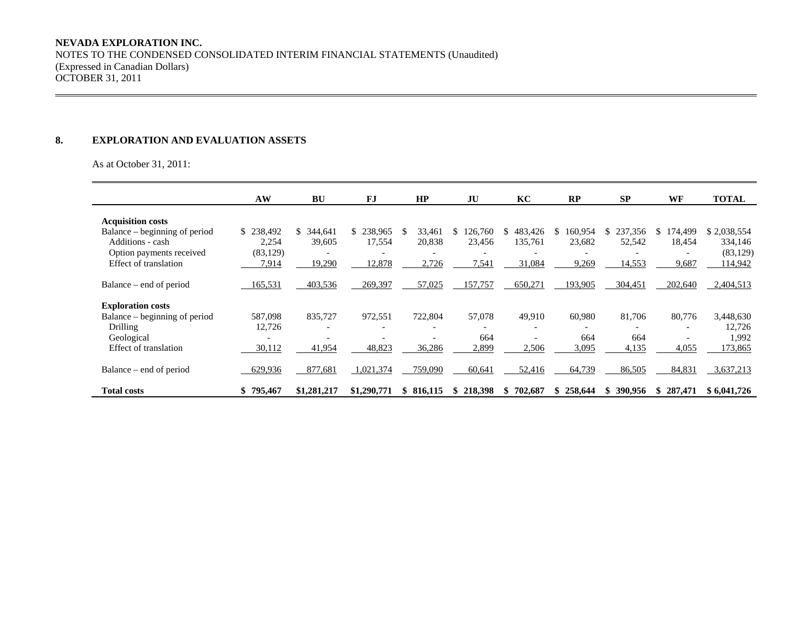### **8. EXPLORATION AND EVALUATION ASSETS**

As at October 31, 2011:

|                               | AW        | BU            | FJ            | HP                       | JU             | KC            | RP            | <b>SP</b> | <b>WF</b>    | <b>TOTAL</b> |
|-------------------------------|-----------|---------------|---------------|--------------------------|----------------|---------------|---------------|-----------|--------------|--------------|
| <b>Acquisition costs</b>      |           |               |               |                          |                |               |               |           |              |              |
| Balance – beginning of period | \$238,492 | 344,641<br>S. | 238,965<br>\$ | 33,461<br>\$.            | 126,760        | 483,426<br>S. | 160,954<br>S. | 237,356   | 174,499<br>S | \$2,038,554  |
| Additions - cash              | 2,254     | 39,605        | 17,554        | 20,838                   | 23,456         | 135,761       | 23,682        | 52,542    | 18,454       | 334,146      |
| Option payments received      | (83, 129) |               |               |                          |                |               |               |           |              | (83, 129)    |
| Effect of translation         | 7,914     | 19,290        | 12,878        | 2,726                    | 7,541          | 31,084        | 9,269         | 14,553    | 9,687        | 114,942      |
|                               |           |               |               |                          |                |               |               |           |              |              |
| Balance – end of period       | 165,531   | 403,536       | 269,397       | 57,025                   | 157,757        | 650,271       | 193,905       | 304,451   | 202,640      | 2,404,513    |
|                               |           |               |               |                          |                |               |               |           |              |              |
| <b>Exploration costs</b>      |           |               |               |                          |                |               |               |           |              |              |
| Balance – beginning of period | 587,098   | 835,727       | 972,551       | 722,804                  | 57,078         | 49,910        | 60,980        | 81,706    | 80,776       | 3,448,630    |
| Drilling                      | 12,726    |               |               |                          |                |               |               |           |              | 12,726       |
| Geological                    |           |               |               | $\overline{\phantom{0}}$ | 664            |               | 664           | 664       |              | 1,992        |
| Effect of translation         | 30,112    | 41,954        | 48,823        | 36,286                   | 2,899          | 2,506         | 3,095         | 4,135     | 4,055        | 173,865      |
|                               |           |               |               |                          |                |               |               |           |              |              |
| Balance – end of period       | 629,936   | 877,681       | 1,021,374     | 759,090                  | 60,641         | 52,416        | 64,739        | 86,505    | 84,831       | 3,637,213    |
| <b>Total costs</b>            | \$795,467 | \$1,281,217   | \$1,290,771   | \$816,115                | 218,398<br>SS. | 702,687<br>S  | \$258,644     | 390,956   | 287,471<br>S | \$6,041,726  |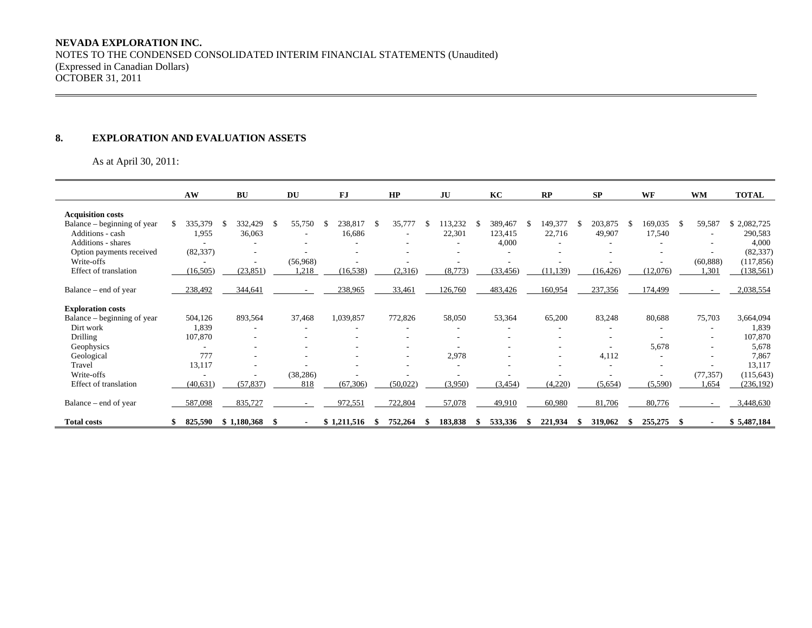# **NEVADA EXPLORATION INC.**

NOTES TO THE CONDENSED CONSOLIDATED INTERIM FINANCIAL STATEMENTS (Unaudited) (Expressed in Canadian Dollars) OCTOBER 31, 2011

#### **8. EXPLORATION AND EVALUATION ASSETS**

As at April 30, 2011:

|                             | AW        |     | <b>BU</b>                |    | DU        |    | FJ          |    | HP       | JU      | KC        |     | RP        |    | <b>SP</b> | WF       |    | <b>WM</b>                | <b>TOTAL</b> |
|-----------------------------|-----------|-----|--------------------------|----|-----------|----|-------------|----|----------|---------|-----------|-----|-----------|----|-----------|----------|----|--------------------------|--------------|
| <b>Acquisition costs</b>    |           |     |                          |    |           |    |             |    |          |         |           |     |           |    |           |          |    |                          |              |
| Balance – beginning of year | 335,379   | - S | 332,429                  | -8 | 55,750    | -S | 238,817     | -S | 35,777   | 113,232 | 389,467   | S   | 149,377   | -S | 203,875   | 169,035  | S. | 59,587                   | \$2,082,725  |
| Additions - cash            | 1,955     |     | 36,063                   |    |           |    | 16,686      |    |          | 22,301  | 123,415   |     | 22,716    |    | 49,907    | 17,540   |    |                          | 290,583      |
| <b>Additions - shares</b>   |           |     |                          |    |           |    |             |    |          |         | 4,000     |     |           |    |           |          |    |                          | 4,000        |
| Option payments received    | (82, 337) |     |                          |    |           |    |             |    |          |         |           |     |           |    |           |          |    |                          | (82, 337)    |
| Write-offs                  |           |     | $\overline{\phantom{a}}$ |    | (56,968)  |    |             |    |          |         |           |     |           |    |           |          |    | (60, 888)                | (117, 856)   |
| Effect of translation       | (16, 505) |     | (23, 851)                |    | 1,218     |    | (16, 538)   |    | (2,316)  | (8,773) | (33, 456) |     | (11, 139) |    | (16, 426) | (12,076) |    | 1,301                    | (138, 561)   |
|                             |           |     |                          |    |           |    |             |    |          |         |           |     |           |    |           |          |    |                          |              |
| Balance – end of year       | 238,492   |     | 344,641                  |    |           |    | 238,965     |    | 33,461   | 126,760 | 483,426   |     | 160,954   |    | 237,356   | 174,499  |    | ۰                        | 2,038,554    |
|                             |           |     |                          |    |           |    |             |    |          |         |           |     |           |    |           |          |    |                          |              |
| <b>Exploration costs</b>    |           |     |                          |    |           |    |             |    |          |         |           |     |           |    |           |          |    |                          |              |
| Balance – beginning of year | 504,126   |     | 893,564                  |    | 37,468    |    | 1,039,857   |    | 772,826  | 58,050  | 53,364    |     | 65,200    |    | 83,248    | 80,688   |    | 75,703                   | 3,664,094    |
| Dirt work                   | 1,839     |     |                          |    |           |    |             |    |          |         |           |     |           |    |           |          |    |                          | 1,839        |
| <b>Drilling</b>             | 107,870   |     |                          |    |           |    |             |    |          |         |           |     |           |    |           |          |    | $\overline{\phantom{a}}$ | 107,870      |
| Geophysics                  |           |     |                          |    |           |    |             |    |          |         |           |     |           |    |           | 5,678    |    | $\overline{\phantom{a}}$ | 5,678        |
| Geological                  | 777       |     |                          |    |           |    |             |    | ۰        | 2,978   |           |     | ٠         |    | 4,112     |          |    | $\overline{\phantom{a}}$ | 7,867        |
| Travel                      | 13,117    |     | $\overline{\phantom{a}}$ |    |           |    |             |    |          |         |           |     |           |    |           |          |    | $\overline{\phantom{a}}$ | 13,117       |
| Write-offs                  |           |     | -                        |    | (38, 286) |    |             |    |          |         |           |     |           |    |           |          |    | (77, 357)                | (115, 643)   |
| Effect of translation       | (40, 631) |     | (57, 837)                |    | 818       |    | (67, 306)   |    | (50,022) | (3,950) | (3, 454)  |     | (4,220)   |    | (5,654)   | (5,590)  |    | 1,654                    | (236, 192)   |
| Balance – end of year       | 587,098   |     | 835,727                  |    |           |    | 972,551     |    | 722,804  | 57,078  | 49,910    |     | 60,980    |    | 81,706    | 80,776   |    |                          | 3,448,630    |
| <b>Total costs</b>          | 825,590   |     | \$1,180,368              | -S |           |    | \$1,211,516 | S  | 752,264  | 183,838 | 533,336   | \$. | 221,934   |    | 319,062   | 255,275  |    | $\overline{\phantom{0}}$ | \$5,487,184  |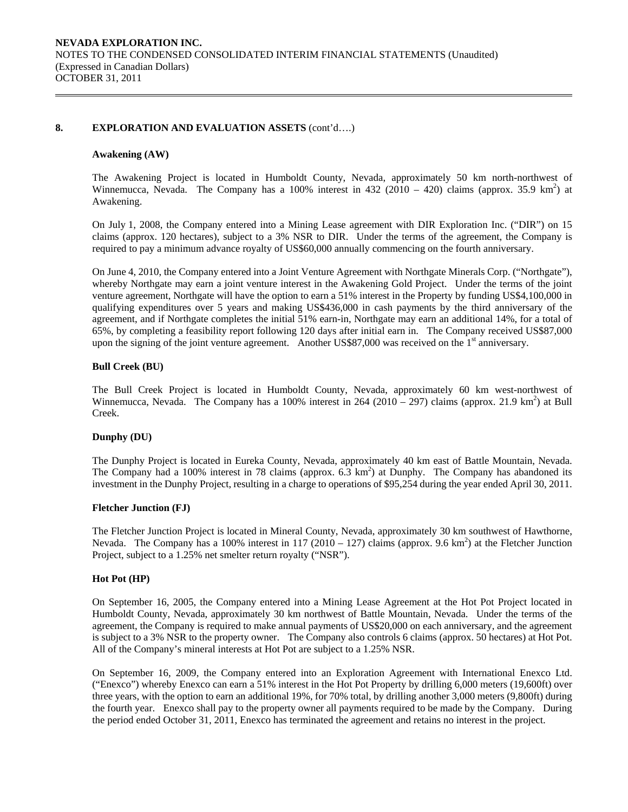#### **8. EXPLORATION AND EVALUATION ASSETS** (cont'd….)

#### **Awakening (AW)**

The Awakening Project is located in Humboldt County, Nevada, approximately 50 km north-northwest of Winnemucca, Nevada. The Company has a 100% interest in 432 (2010 – 420) claims (approx. 35.9 km<sup>2</sup>) at Awakening.

On July 1, 2008, the Company entered into a Mining Lease agreement with DIR Exploration Inc. ("DIR") on 15 claims (approx. 120 hectares), subject to a 3% NSR to DIR. Under the terms of the agreement, the Company is required to pay a minimum advance royalty of US\$60,000 annually commencing on the fourth anniversary.

On June 4, 2010, the Company entered into a Joint Venture Agreement with Northgate Minerals Corp. ("Northgate"), whereby Northgate may earn a joint venture interest in the Awakening Gold Project. Under the terms of the joint venture agreement, Northgate will have the option to earn a 51% interest in the Property by funding US\$4,100,000 in qualifying expenditures over 5 years and making US\$436,000 in cash payments by the third anniversary of the agreement, and if Northgate completes the initial 51% earn-in, Northgate may earn an additional 14%, for a total of 65%, by completing a feasibility report following 120 days after initial earn in. The Company received US\$87,000 upon the signing of the joint venture agreement. Another US\$87,000 was received on the  $1<sup>st</sup>$  anniversary.

#### **Bull Creek (BU)**

The Bull Creek Project is located in Humboldt County, Nevada, approximately 60 km west-northwest of Winnemucca, Nevada. The Company has a 100% interest in 264 (2010 – 297) claims (approx. 21.9 km<sup>2</sup>) at Bull Creek.

#### **Dunphy (DU)**

The Dunphy Project is located in Eureka County, Nevada, approximately 40 km east of Battle Mountain, Nevada. The Company had a 100% interest in 78 claims (approx.  $6.3 \text{ km}^2$ ) at Dunphy. The Company has abandoned its investment in the Dunphy Project, resulting in a charge to operations of \$95,254 during the year ended April 30, 2011.

## **Fletcher Junction (FJ)**

The Fletcher Junction Project is located in Mineral County, Nevada, approximately 30 km southwest of Hawthorne, Nevada. The Company has a 100% interest in 117 (2010 – 127) claims (approx. 9.6 km<sup>2</sup>) at the Fletcher Junction Project, subject to a 1.25% net smelter return royalty ("NSR").

#### **Hot Pot (HP)**

On September 16, 2005, the Company entered into a Mining Lease Agreement at the Hot Pot Project located in Humboldt County, Nevada, approximately 30 km northwest of Battle Mountain, Nevada. Under the terms of the agreement, the Company is required to make annual payments of US\$20,000 on each anniversary, and the agreement is subject to a 3% NSR to the property owner. The Company also controls 6 claims (approx. 50 hectares) at Hot Pot. All of the Company's mineral interests at Hot Pot are subject to a 1.25% NSR.

On September 16, 2009, the Company entered into an Exploration Agreement with International Enexco Ltd. ("Enexco") whereby Enexco can earn a 51% interest in the Hot Pot Property by drilling 6,000 meters (19,600ft) over three years, with the option to earn an additional 19%, for 70% total, by drilling another 3,000 meters (9,800ft) during the fourth year. Enexco shall pay to the property owner all payments required to be made by the Company. During the period ended October 31, 2011, Enexco has terminated the agreement and retains no interest in the project.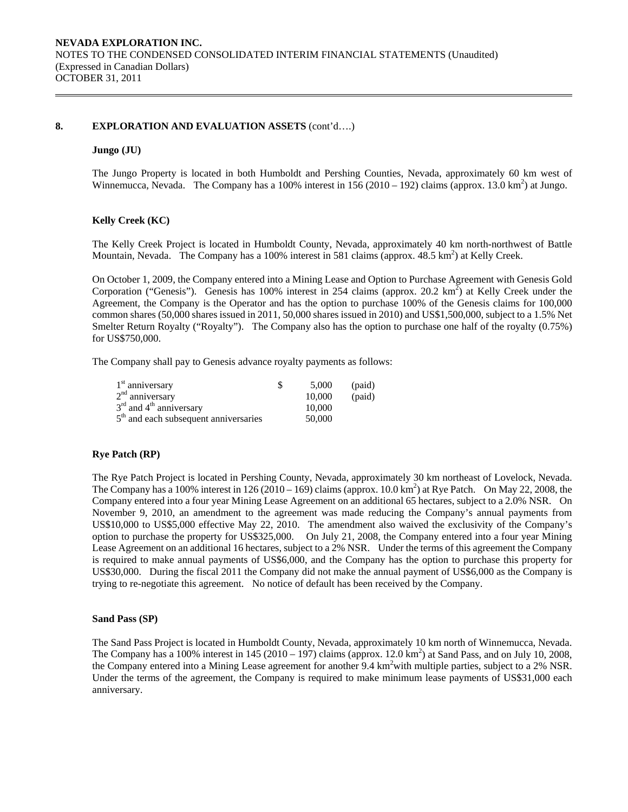#### **8. EXPLORATION AND EVALUATION ASSETS** (cont'd….)

#### **Jungo (JU)**

The Jungo Property is located in both Humboldt and Pershing Counties, Nevada, approximately 60 km west of Winnemucca, Nevada. The Company has a 100% interest in  $156(2010 - 192)$  claims (approx. 13.0 km<sup>2</sup>) at Jungo.

#### **Kelly Creek (KC)**

The Kelly Creek Project is located in Humboldt County, Nevada, approximately 40 km north-northwest of Battle Mountain, Nevada. The Company has a 100% interest in 581 claims (approx. 48.5 km<sup>2</sup>) at Kelly Creek.

On October 1, 2009, the Company entered into a Mining Lease and Option to Purchase Agreement with Genesis Gold Corporation ("Genesis"). Genesis has 100% interest in 254 claims (approx. 20.2 km<sup>2</sup>) at Kelly Creek under the Agreement, the Company is the Operator and has the option to purchase 100% of the Genesis claims for 100,000 common shares (50,000 shares issued in 2011, 50,000 shares issued in 2010) and US\$1,500,000, subject to a 1.5% Net Smelter Return Royalty ("Royalty"). The Company also has the option to purchase one half of the royalty (0.75%) for US\$750,000.

The Company shall pay to Genesis advance royalty payments as follows:

| $1st$ anniversary                                 | 5,000  | (paid) |
|---------------------------------------------------|--------|--------|
| $2nd$ anniversary                                 | 10,000 | (paid) |
| $3rd$ and $4th$ anniversary                       | 10,000 |        |
| 5 <sup>th</sup> and each subsequent anniversaries | 50,000 |        |

#### **Rye Patch (RP)**

The Rye Patch Project is located in Pershing County, Nevada, approximately 30 km northeast of Lovelock, Nevada. The Company has a 100% interest in 126 (2010 – 169) claims (approx. 10.0 km<sup>2</sup>) at Rye Patch. On May 22, 2008, the Company entered into a four year Mining Lease Agreement on an additional 65 hectares, subject to a 2.0% NSR. On November 9, 2010, an amendment to the agreement was made reducing the Company's annual payments from US\$10,000 to US\$5,000 effective May 22, 2010. The amendment also waived the exclusivity of the Company's option to purchase the property for US\$325,000. On July 21, 2008, the Company entered into a four year Mining Lease Agreement on an additional 16 hectares, subject to a 2% NSR. Under the terms of this agreement the Company is required to make annual payments of US\$6,000, and the Company has the option to purchase this property for US\$30,000. During the fiscal 2011 the Company did not make the annual payment of US\$6,000 as the Company is trying to re-negotiate this agreement. No notice of default has been received by the Company.

#### **Sand Pass (SP)**

The Sand Pass Project is located in Humboldt County, Nevada, approximately 10 km north of Winnemucca, Nevada. The Company has a 100% interest in  $145 (2010 - 197)$  claims (approx. 12.0 km<sup>2</sup>) at Sand Pass, and on July 10, 2008, the Company entered into a Mining Lease agreement for another 9.4 km<sup>2</sup> with multiple parties, subject to a 2% NSR. Under the terms of the agreement, the Company is required to make minimum lease payments of US\$31,000 each anniversary.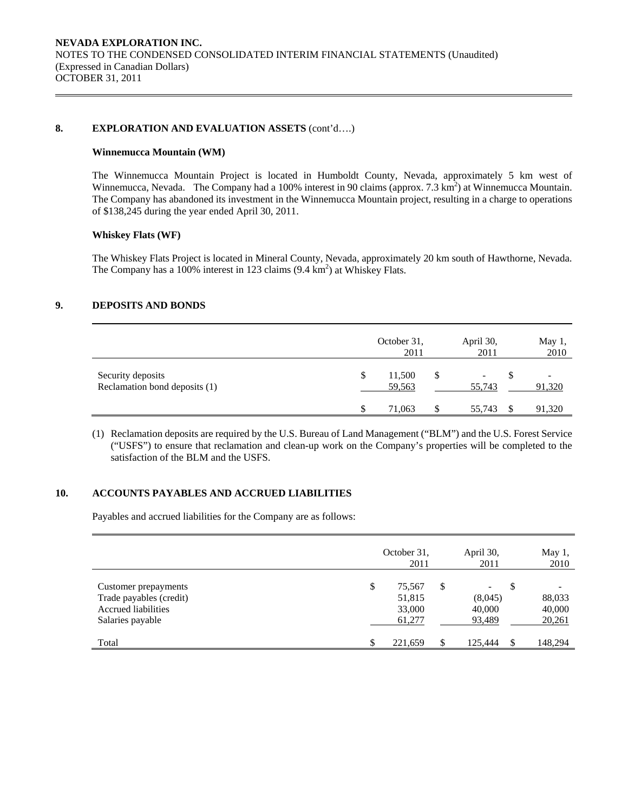### 8. **EXPLORATION AND EVALUATION ASSETS** (cont'd....)

### **Winnemucca Mountain (WM)**

The Winnemucca Mountain Project is located in Humboldt County, Nevada, approximately 5 km west of Winnemucca, Nevada. The Company had a 100% interest in 90 claims (approx.  $7.3 \text{ km}^2$ ) at Winnemucca Mountain. The Company has abandoned its investment in the Winnemucca Mountain project, resulting in a charge to operations of \$138,245 during the year ended April 30, 2011.

# **Whiskey Flats (WF)**

The Whiskey Flats Project is located in Mineral County, Nevada, approximately 20 km south of Hawthorne, Nevada. The Company has a 100% interest in 123 claims  $(9.4 \text{ km}^2)$  at Whiskey Flats.

# **9. DEPOSITS AND BONDS**

|                                                    |   | October 31,<br>2011 |   | April 30,<br>2011 | May 1,<br>2010 |
|----------------------------------------------------|---|---------------------|---|-------------------|----------------|
| Security deposits<br>Reclamation bond deposits (1) | S | 11,500<br>59,563    | S | 55,743            | 91,320         |
|                                                    |   | 71,063              |   | 55,743            | 91,320         |

(1) Reclamation deposits are required by the U.S. Bureau of Land Management ("BLM") and the U.S. Forest Service ("USFS") to ensure that reclamation and clean-up work on the Company's properties will be completed to the satisfaction of the BLM and the USFS.

# **10. ACCOUNTS PAYABLES AND ACCRUED LIABILITIES**

Payables and accrued liabilities for the Company are as follows:

|                                                                                                   | October 31,<br>2011                        |     | April 30,<br>2011                                       |    | May 1,<br>2010             |
|---------------------------------------------------------------------------------------------------|--------------------------------------------|-----|---------------------------------------------------------|----|----------------------------|
| Customer prepayments<br>Trade payables (credit)<br><b>Accrued liabilities</b><br>Salaries payable | \$<br>75,567<br>51,815<br>33,000<br>61,277 | S   | $\overline{\phantom{0}}$<br>(8,045)<br>40,000<br>93,489 | \$ | 88,033<br>40,000<br>20,261 |
| Total                                                                                             | 221,659                                    | \$. | 125,444                                                 | £. | 148,294                    |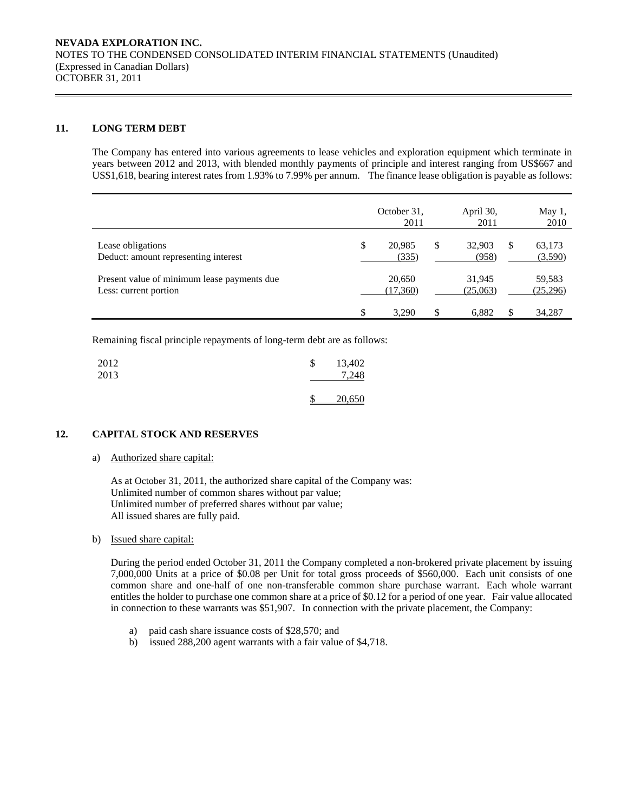### **11. LONG TERM DEBT**

The Company has entered into various agreements to lease vehicles and exploration equipment which terminate in years between 2012 and 2013, with blended monthly payments of principle and interest ranging from US\$667 and US\$1,618, bearing interest rates from 1.93% to 7.99% per annum. The finance lease obligation is payable as follows:

|                                                                      | October 31,<br>2011   | April 30,<br>2011     |   | May 1,<br>2010     |
|----------------------------------------------------------------------|-----------------------|-----------------------|---|--------------------|
| Lease obligations<br>Deduct: amount representing interest            | \$<br>20.985<br>(335) | \$<br>32,903<br>(958) | S | 63,173<br>(3,590)  |
| Present value of minimum lease payments due<br>Less: current portion | 20,650<br>(17,360)    | 31,945<br>(25,063)    |   | 59,583<br>(25,296) |
|                                                                      | \$<br>3.290           | \$<br>6.882           |   | 34,287             |

Remaining fiscal principle repayments of long-term debt are as follows:

| 2012<br>2013 | \$ | 13,402<br>7.248 |
|--------------|----|-----------------|
|              |    | <u>20,650</u>   |

# **12. CAPITAL STOCK AND RESERVES**

## a) Authorized share capital:

As at October 31, 2011, the authorized share capital of the Company was: Unlimited number of common shares without par value; Unlimited number of preferred shares without par value; All issued shares are fully paid.

#### b) Issued share capital:

 During the period ended October 31, 2011 the Company completed a non-brokered private placement by issuing 7,000,000 Units at a price of \$0.08 per Unit for total gross proceeds of \$560,000. Each unit consists of one common share and one-half of one non-transferable common share purchase warrant. Each whole warrant entitles the holder to purchase one common share at a price of \$0.12 for a period of one year. Fair value allocated in connection to these warrants was \$51,907. In connection with the private placement, the Company:

- a) paid cash share issuance costs of \$28,570; and
- b) issued 288,200 agent warrants with a fair value of \$4,718.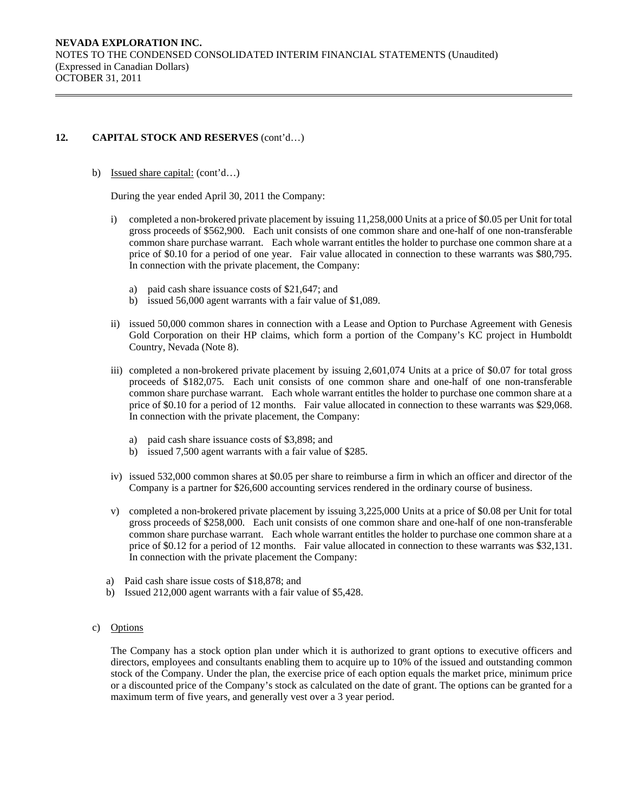b) Issued share capital: (cont'd…)

During the year ended April 30, 2011 the Company:

- i) completed a non-brokered private placement by issuing 11,258,000 Units at a price of \$0.05 per Unit for total gross proceeds of \$562,900. Each unit consists of one common share and one-half of one non-transferable common share purchase warrant. Each whole warrant entitles the holder to purchase one common share at a price of \$0.10 for a period of one year. Fair value allocated in connection to these warrants was \$80,795. In connection with the private placement, the Company:
	- a) paid cash share issuance costs of \$21,647; and
	- b) issued 56,000 agent warrants with a fair value of \$1,089.
- ii) issued 50,000 common shares in connection with a Lease and Option to Purchase Agreement with Genesis Gold Corporation on their HP claims, which form a portion of the Company's KC project in Humboldt Country, Nevada (Note 8).
- iii) completed a non-brokered private placement by issuing 2,601,074 Units at a price of \$0.07 for total gross proceeds of \$182,075. Each unit consists of one common share and one-half of one non-transferable common share purchase warrant. Each whole warrant entitles the holder to purchase one common share at a price of \$0.10 for a period of 12 months. Fair value allocated in connection to these warrants was \$29,068. In connection with the private placement, the Company:
	- a) paid cash share issuance costs of \$3,898; and
	- b) issued 7,500 agent warrants with a fair value of \$285.
- iv) issued 532,000 common shares at \$0.05 per share to reimburse a firm in which an officer and director of the Company is a partner for \$26,600 accounting services rendered in the ordinary course of business.
- v) completed a non-brokered private placement by issuing 3,225,000 Units at a price of \$0.08 per Unit for total gross proceeds of \$258,000. Each unit consists of one common share and one-half of one non-transferable common share purchase warrant. Each whole warrant entitles the holder to purchase one common share at a price of \$0.12 for a period of 12 months. Fair value allocated in connection to these warrants was \$32,131. In connection with the private placement the Company:
- a) Paid cash share issue costs of \$18,878; and
- b) Issued 212,000 agent warrants with a fair value of \$5,428.

#### c) Options

The Company has a stock option plan under which it is authorized to grant options to executive officers and directors, employees and consultants enabling them to acquire up to 10% of the issued and outstanding common stock of the Company. Under the plan, the exercise price of each option equals the market price, minimum price or a discounted price of the Company's stock as calculated on the date of grant. The options can be granted for a maximum term of five years, and generally vest over a 3 year period.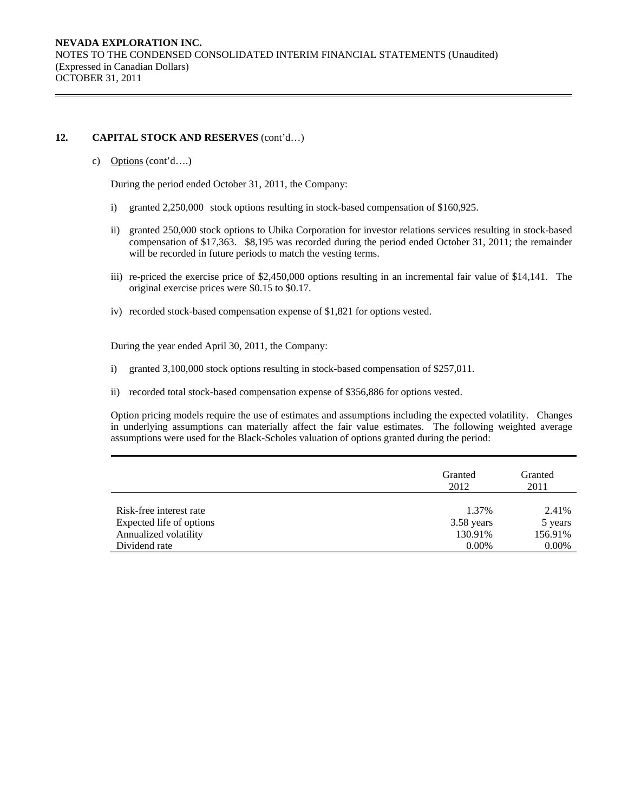c) Options (cont'd….)

During the period ended October 31, 2011, the Company:

- i) granted 2,250,000 stock options resulting in stock-based compensation of \$160,925.
- ii) granted 250,000 stock options to Ubika Corporation for investor relations services resulting in stock-based compensation of \$17,363. \$8,195 was recorded during the period ended October 31, 2011; the remainder will be recorded in future periods to match the vesting terms.
- iii) re-priced the exercise price of \$2,450,000 options resulting in an incremental fair value of \$14,141. The original exercise prices were \$0.15 to \$0.17.
- iv) recorded stock-based compensation expense of \$1,821 for options vested.

During the year ended April 30, 2011, the Company:

- i) granted 3,100,000 stock options resulting in stock-based compensation of \$257,011.
- ii) recorded total stock-based compensation expense of \$356,886 for options vested.

Option pricing models require the use of estimates and assumptions including the expected volatility. Changes in underlying assumptions can materially affect the fair value estimates. The following weighted average assumptions were used for the Black-Scholes valuation of options granted during the period:

|                          | Granted<br>2012 | Granted<br>2011 |
|--------------------------|-----------------|-----------------|
| Risk-free interest rate  | 1.37%           | 2.41%           |
| Expected life of options | 3.58 years      | 5 years         |
| Annualized volatility    | 130.91%         | 156.91%         |
| Dividend rate            | $0.00\%$        | $0.00\%$        |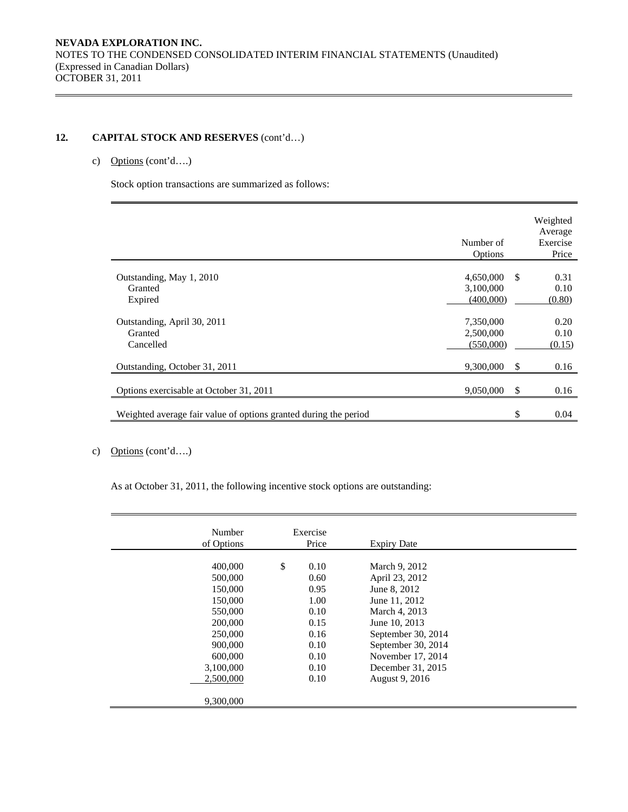# c) Options (cont'd….)

Stock option transactions are summarized as follows:

|                                                                  | Number of<br>Options                     |               | Weighted<br>Average<br>Exercise<br>Price |
|------------------------------------------------------------------|------------------------------------------|---------------|------------------------------------------|
| Outstanding, May 1, 2010<br>Granted<br>Expired                   | $4,650,000$ \$<br>3,100,000<br>(400,000) |               | 0.31<br>0.10<br>(0.80)                   |
| Outstanding, April 30, 2011<br>Granted<br>Cancelled              | 7,350,000<br>2,500,000<br>(550,000)      |               | 0.20<br>0.10<br>(0.15)                   |
| Outstanding, October 31, 2011                                    | 9,300,000                                | <sup>\$</sup> | 0.16                                     |
| Options exercisable at October 31, 2011                          | 9,050,000                                | \$            | 0.16                                     |
| Weighted average fair value of options granted during the period |                                          |               | 0.04                                     |

# c) Options (cont'd….)

As at October 31, 2011, the following incentive stock options are outstanding:

| Number<br>of Options                                                                                                                   | Exercise<br>Price                                                                          | <b>Expiry Date</b>                                                                                                                                                                                         |
|----------------------------------------------------------------------------------------------------------------------------------------|--------------------------------------------------------------------------------------------|------------------------------------------------------------------------------------------------------------------------------------------------------------------------------------------------------------|
| 400,000<br>500,000<br>150,000<br>150,000<br>550,000<br>200,000<br>250,000<br>900,000<br>600,000<br>3,100,000<br>2,500,000<br>9,300,000 | \$<br>0.10<br>0.60<br>0.95<br>1.00<br>0.10<br>0.15<br>0.16<br>0.10<br>0.10<br>0.10<br>0.10 | March 9, 2012<br>April 23, 2012<br>June 8, 2012<br>June 11, 2012<br>March 4, 2013<br>June 10, 2013<br>September 30, 2014<br>September 30, 2014<br>November 17, 2014<br>December 31, 2015<br>August 9, 2016 |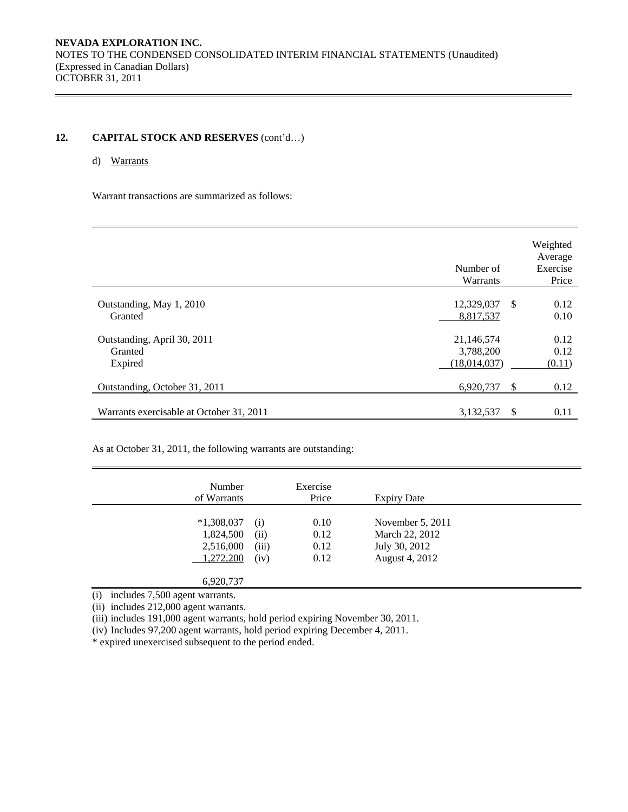# d) Warrants

Warrant transactions are summarized as follows:

|                                                   | Number of<br>Warrants                   |               | Weighted<br>Average<br>Exercise<br>Price |
|---------------------------------------------------|-----------------------------------------|---------------|------------------------------------------|
| Outstanding, May 1, 2010<br>Granted               | 12,329,037<br>8,817,537                 | -S            | 0.12<br>0.10                             |
| Outstanding, April 30, 2011<br>Granted<br>Expired | 21,146,574<br>3,788,200<br>(18,014,037) |               | 0.12<br>0.12<br>(0.11)                   |
| Outstanding, October 31, 2011                     | 6,920,737                               | <sup>\$</sup> | 0.12                                     |
| Warrants exercisable at October 31, 2011          | 3,132,537                               | \$            | 0.11                                     |

As at October 31, 2011, the following warrants are outstanding:

| Number<br>of Warrants |       | Exercise<br>Price | <b>Expiry Date</b> |  |
|-----------------------|-------|-------------------|--------------------|--|
|                       |       |                   |                    |  |
| $*1,308,037$          | (i)   | 0.10              | November $5, 2011$ |  |
| 1,824,500             | (ii)  | 0.12              | March 22, 2012     |  |
| 2,516,000             | (iii) | 0.12              | July 30, 2012      |  |
| 1,272,200             | (iv)  | 0.12              | August 4, 2012     |  |
|                       |       |                   |                    |  |
| 6,920,737             |       |                   |                    |  |

(i) includes 7,500 agent warrants.

(ii) includes 212,000 agent warrants.

(iii) includes 191,000 agent warrants, hold period expiring November 30, 2011.

(iv) Includes 97,200 agent warrants, hold period expiring December 4, 2011.

\* expired unexercised subsequent to the period ended.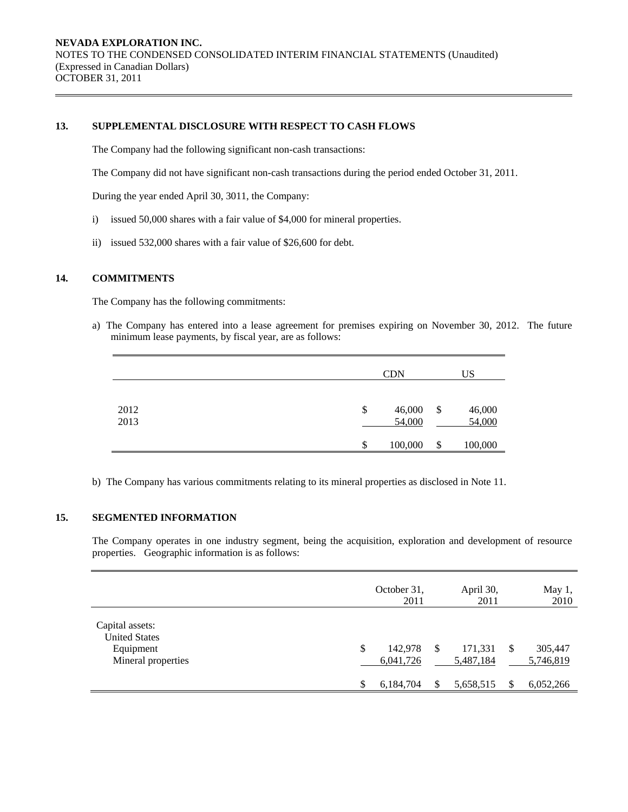# **13. SUPPLEMENTAL DISCLOSURE WITH RESPECT TO CASH FLOWS**

The Company had the following significant non-cash transactions:

The Company did not have significant non-cash transactions during the period ended October 31, 2011.

During the year ended April 30, 3011, the Company:

- i) issued 50,000 shares with a fair value of \$4,000 for mineral properties.
- ii) issued 532,000 shares with a fair value of \$26,600 for debt.

# **14. COMMITMENTS**

The Company has the following commitments:

a) The Company has entered into a lease agreement for premises expiring on November 30, 2012. The future minimum lease payments, by fiscal year, are as follows:

|              | <b>CDN</b>             | US                     |  |  |  |
|--------------|------------------------|------------------------|--|--|--|
| 2012<br>2013 | \$<br>46,000<br>54,000 | \$<br>46,000<br>54,000 |  |  |  |
|              | \$<br>100,000          | \$<br>100,000          |  |  |  |

b) The Company has various commitments relating to its mineral properties as disclosed in Note 11.

# **15. SEGMENTED INFORMATION**

The Company operates in one industry segment, being the acquisition, exploration and development of resource properties. Geographic information is as follows:

|                                                                            | October 31,<br>2011        |   | April 30,<br>2011    |   | May 1,<br>2010       |  |  |
|----------------------------------------------------------------------------|----------------------------|---|----------------------|---|----------------------|--|--|
| Capital assets:<br><b>United States</b><br>Equipment<br>Mineral properties | \$<br>142,978<br>6,041,726 | S | 171,331<br>5,487,184 | S | 305,447<br>5,746,819 |  |  |
|                                                                            | \$<br>6,184,704            |   | 5,658,515            |   | 6,052,266            |  |  |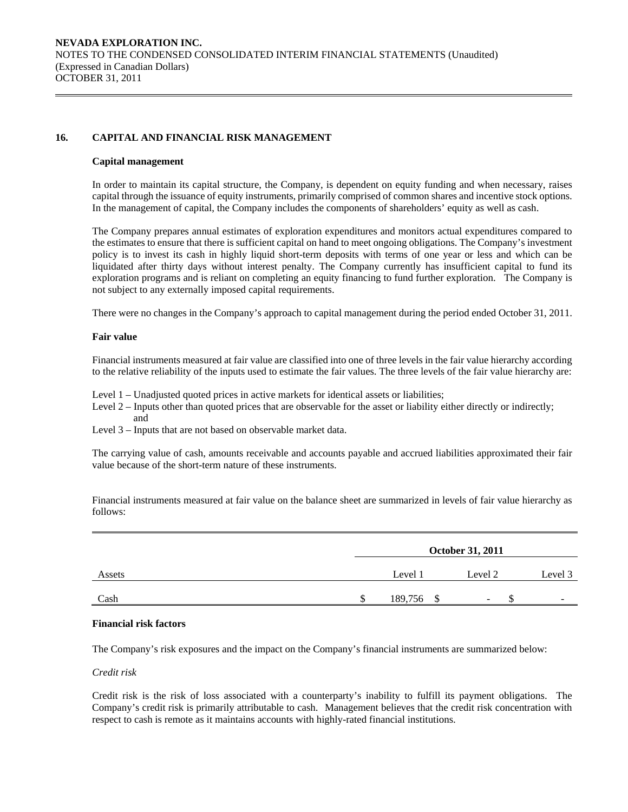# **16. CAPITAL AND FINANCIAL RISK MANAGEMENT**

#### **Capital management**

In order to maintain its capital structure, the Company, is dependent on equity funding and when necessary, raises capital through the issuance of equity instruments, primarily comprised of common shares and incentive stock options. In the management of capital, the Company includes the components of shareholders' equity as well as cash.

The Company prepares annual estimates of exploration expenditures and monitors actual expenditures compared to the estimates to ensure that there is sufficient capital on hand to meet ongoing obligations. The Company's investment policy is to invest its cash in highly liquid short-term deposits with terms of one year or less and which can be liquidated after thirty days without interest penalty. The Company currently has insufficient capital to fund its exploration programs and is reliant on completing an equity financing to fund further exploration. The Company is not subject to any externally imposed capital requirements.

There were no changes in the Company's approach to capital management during the period ended October 31, 2011.

#### **Fair value**

Financial instruments measured at fair value are classified into one of three levels in the fair value hierarchy according to the relative reliability of the inputs used to estimate the fair values. The three levels of the fair value hierarchy are:

Level 1 – Unadjusted quoted prices in active markets for identical assets or liabilities;

Level 2 – Inputs other than quoted prices that are observable for the asset or liability either directly or indirectly; and

Level 3 – Inputs that are not based on observable market data.

The carrying value of cash, amounts receivable and accounts payable and accrued liabilities approximated their fair value because of the short-term nature of these instruments.

Financial instruments measured at fair value on the balance sheet are summarized in levels of fair value hierarchy as follows:

|        | <b>October 31, 2011</b> |            |                          |                          |  |  |  |  |  |  |
|--------|-------------------------|------------|--------------------------|--------------------------|--|--|--|--|--|--|
| Assets |                         | Level 1    | Level 2                  | Level 3                  |  |  |  |  |  |  |
| Cash   |                         | 189,756 \$ | $\overline{\phantom{a}}$ | $\overline{\phantom{0}}$ |  |  |  |  |  |  |

#### **Financial risk factors**

The Company's risk exposures and the impact on the Company's financial instruments are summarized below:

### *Credit risk*

 Credit risk is the risk of loss associated with a counterparty's inability to fulfill its payment obligations. The Company's credit risk is primarily attributable to cash. Management believes that the credit risk concentration with respect to cash is remote as it maintains accounts with highly-rated financial institutions.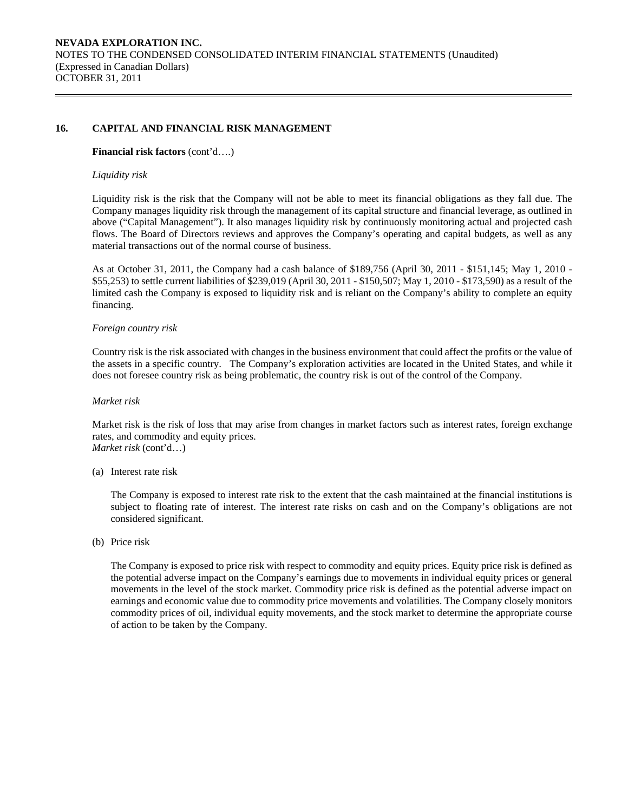### **16. CAPITAL AND FINANCIAL RISK MANAGEMENT**

#### **Financial risk factors** (cont'd….)

#### *Liquidity risk*

Liquidity risk is the risk that the Company will not be able to meet its financial obligations as they fall due. The Company manages liquidity risk through the management of its capital structure and financial leverage, as outlined in above ("Capital Management"). It also manages liquidity risk by continuously monitoring actual and projected cash flows. The Board of Directors reviews and approves the Company's operating and capital budgets, as well as any material transactions out of the normal course of business.

As at October 31, 2011, the Company had a cash balance of \$189,756 (April 30, 2011 - \$151,145; May 1, 2010 - \$55,253) to settle current liabilities of \$239,019 (April 30, 2011 - \$150,507; May 1, 2010 - \$173,590) as a result of the limited cash the Company is exposed to liquidity risk and is reliant on the Company's ability to complete an equity financing.

#### *Foreign country risk*

Country risk is the risk associated with changes in the business environment that could affect the profits or the value of the assets in a specific country. The Company's exploration activities are located in the United States, and while it does not foresee country risk as being problematic, the country risk is out of the control of the Company.

#### *Market risk*

Market risk is the risk of loss that may arise from changes in market factors such as interest rates, foreign exchange rates, and commodity and equity prices. *Market risk* (cont'd…)

(a) Interest rate risk

 The Company is exposed to interest rate risk to the extent that the cash maintained at the financial institutions is subject to floating rate of interest. The interest rate risks on cash and on the Company's obligations are not considered significant.

(b) Price risk

The Company is exposed to price risk with respect to commodity and equity prices. Equity price risk is defined as the potential adverse impact on the Company's earnings due to movements in individual equity prices or general movements in the level of the stock market. Commodity price risk is defined as the potential adverse impact on earnings and economic value due to commodity price movements and volatilities. The Company closely monitors commodity prices of oil, individual equity movements, and the stock market to determine the appropriate course of action to be taken by the Company.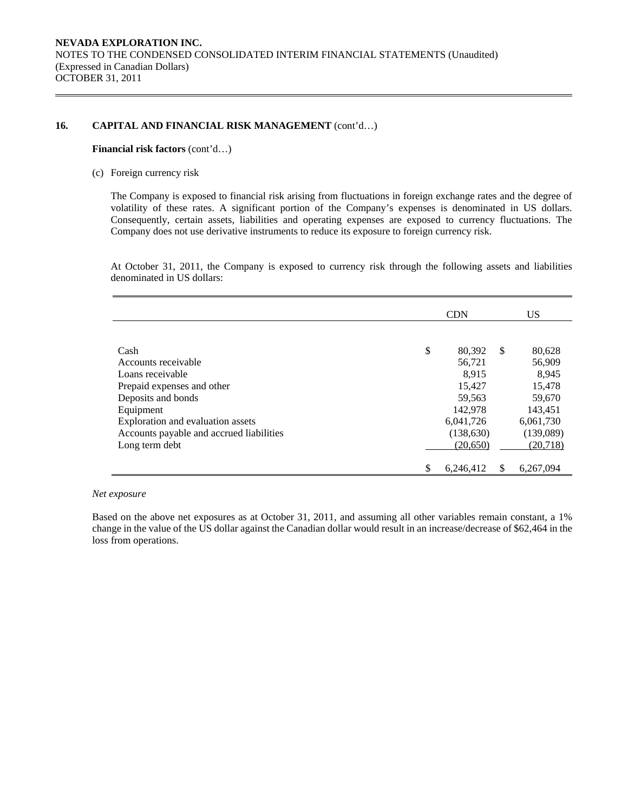### 16. CAPITAL AND FINANCIAL RISK MANAGEMENT (cont'd...)

#### **Financial risk factors** (cont'd…)

(c) Foreign currency risk

The Company is exposed to financial risk arising from fluctuations in foreign exchange rates and the degree of volatility of these rates. A significant portion of the Company's expenses is denominated in US dollars. Consequently, certain assets, liabilities and operating expenses are exposed to currency fluctuations. The Company does not use derivative instruments to reduce its exposure to foreign currency risk.

At October 31, 2011, the Company is exposed to currency risk through the following assets and liabilities denominated in US dollars:

|                                          | <b>CDN</b>      |               | US        |
|------------------------------------------|-----------------|---------------|-----------|
|                                          |                 |               |           |
| Cash                                     | \$<br>80,392    | <sup>\$</sup> | 80,628    |
| Accounts receivable                      | 56,721          |               | 56,909    |
| Loans receivable                         | 8,915           |               | 8,945     |
| Prepaid expenses and other               | 15,427          |               | 15,478    |
| Deposits and bonds                       | 59,563          |               | 59,670    |
| Equipment                                | 142,978         |               | 143,451   |
| Exploration and evaluation assets        | 6,041,726       |               | 6,061,730 |
| Accounts payable and accrued liabilities | (138, 630)      |               | (139,089) |
| Long term debt                           | (20,650)        |               | (20, 718) |
|                                          | \$<br>6.246.412 | S             | 6,267,094 |

*Net exposure* 

Based on the above net exposures as at October 31, 2011, and assuming all other variables remain constant, a 1% change in the value of the US dollar against the Canadian dollar would result in an increase/decrease of \$62,464 in the loss from operations.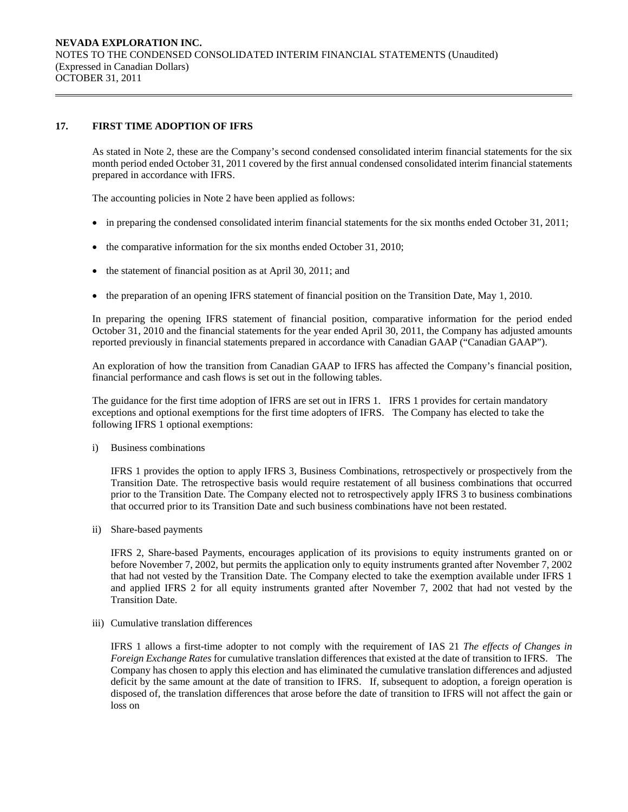### **17. FIRST TIME ADOPTION OF IFRS**

 As stated in Note 2, these are the Company's second condensed consolidated interim financial statements for the six month period ended October 31, 2011 covered by the first annual condensed consolidated interim financial statements prepared in accordance with IFRS.

The accounting policies in Note 2 have been applied as follows:

- in preparing the condensed consolidated interim financial statements for the six months ended October 31, 2011;
- the comparative information for the six months ended October 31, 2010;
- the statement of financial position as at April 30, 2011; and
- the preparation of an opening IFRS statement of financial position on the Transition Date, May 1, 2010.

In preparing the opening IFRS statement of financial position, comparative information for the period ended October 31, 2010 and the financial statements for the year ended April 30, 2011, the Company has adjusted amounts reported previously in financial statements prepared in accordance with Canadian GAAP ("Canadian GAAP").

 An exploration of how the transition from Canadian GAAP to IFRS has affected the Company's financial position, financial performance and cash flows is set out in the following tables.

The guidance for the first time adoption of IFRS are set out in IFRS 1. IFRS 1 provides for certain mandatory exceptions and optional exemptions for the first time adopters of IFRS. The Company has elected to take the following IFRS 1 optional exemptions:

i) Business combinations

IFRS 1 provides the option to apply IFRS 3, Business Combinations, retrospectively or prospectively from the Transition Date. The retrospective basis would require restatement of all business combinations that occurred prior to the Transition Date. The Company elected not to retrospectively apply IFRS 3 to business combinations that occurred prior to its Transition Date and such business combinations have not been restated.

ii) Share-based payments

IFRS 2, Share-based Payments, encourages application of its provisions to equity instruments granted on or before November 7, 2002, but permits the application only to equity instruments granted after November 7, 2002 that had not vested by the Transition Date. The Company elected to take the exemption available under IFRS 1 and applied IFRS 2 for all equity instruments granted after November 7, 2002 that had not vested by the Transition Date.

iii) Cumulative translation differences

IFRS 1 allows a first-time adopter to not comply with the requirement of IAS 21 *The effects of Changes in Foreign Exchange Rates* for cumulative translation differences that existed at the date of transition to IFRS. The Company has chosen to apply this election and has eliminated the cumulative translation differences and adjusted deficit by the same amount at the date of transition to IFRS. If, subsequent to adoption, a foreign operation is disposed of, the translation differences that arose before the date of transition to IFRS will not affect the gain or loss on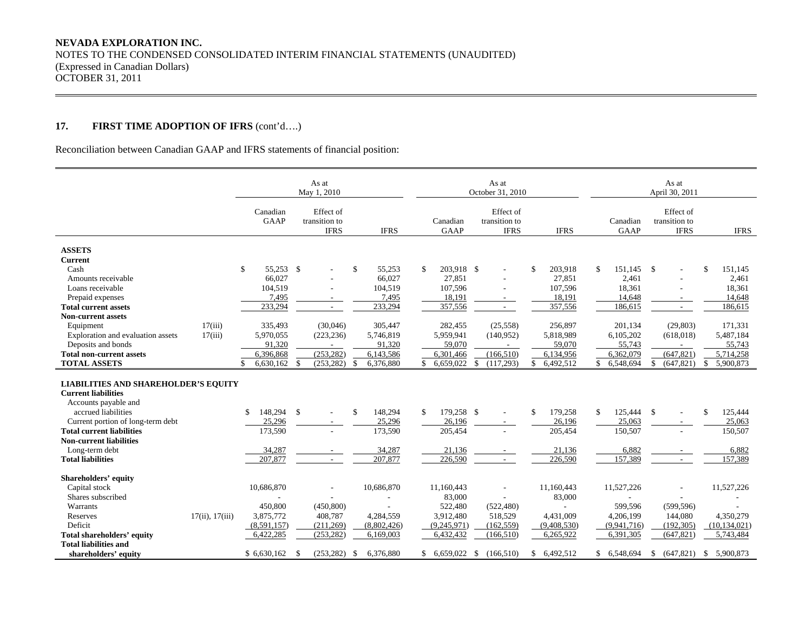# **17. FIRST TIME ADOPTION OF IFRS** (cont'd….)

Reconciliation between Canadian GAAP and IFRS statements of financial position:

|                                                          |                 |                         | As at<br>May 1, 2010                      |                   |                  | As at<br>October 31, 2010                 |                 | As at<br>April 30, 2011 |                                           |               |                   |  |
|----------------------------------------------------------|-----------------|-------------------------|-------------------------------------------|-------------------|------------------|-------------------------------------------|-----------------|-------------------------|-------------------------------------------|---------------|-------------------|--|
|                                                          |                 | Canadian<br><b>GAAP</b> | Effect of<br>transition to<br><b>IFRS</b> | <b>IFRS</b>       | Canadian<br>GAAP | Effect of<br>transition to<br><b>IFRS</b> | <b>IFRS</b>     | Canadian<br>GAAP        | Effect of<br>transition to<br><b>IFRS</b> |               | <b>IFRS</b>       |  |
|                                                          |                 |                         |                                           |                   |                  |                                           |                 |                         |                                           |               |                   |  |
| <b>ASSETS</b>                                            |                 |                         |                                           |                   |                  |                                           |                 |                         |                                           |               |                   |  |
| <b>Current</b>                                           |                 |                         |                                           |                   |                  |                                           |                 |                         |                                           |               |                   |  |
| Cash                                                     |                 | \$<br>55,253 \$         |                                           | \$.<br>55,253     | \$<br>203,918 \$ |                                           | \$<br>203,918   | \$<br>151,145           | $\mathbf{s}$                              | <sup>\$</sup> | 151,145           |  |
| Amounts receivable                                       |                 | 66,027                  |                                           | 66,027            | 27,851           |                                           | 27,851          | 2,461                   |                                           |               | 2,461             |  |
| Loans receivable                                         |                 | 104,519                 |                                           | 104,519           | 107,596          |                                           | 107,596         | 18,361                  |                                           |               | 18,361            |  |
| Prepaid expenses                                         |                 | 7,495<br>233,294        | $\sim$<br>$\sim$                          | 7,495<br>233,294  | 18,191           | $\sim$<br>$\sim$                          | 18,191          | 14,648                  | $\sim$                                    |               | 14,648<br>186,615 |  |
| <b>Total current assets</b><br><b>Non-current assets</b> |                 |                         |                                           |                   | 357,556          |                                           | 357,556         | 186,615                 | $\mathbf{r}$                              |               |                   |  |
|                                                          | 17(iii)         | 335,493                 | (30,046)                                  | 305,447           | 282,455          | (25, 558)                                 | 256,897         | 201,134                 | (29, 803)                                 |               | 171,331           |  |
| Equipment<br>Exploration and evaluation assets           | 17(iii)         | 5,970,055               | (223, 236)                                | 5,746,819         | 5,959,941        | (140,952)                                 | 5,818,989       | 6,105,202               | (618, 018)                                |               | 5,487,184         |  |
| Deposits and bonds                                       |                 | 91,320                  |                                           | 91,320            | 59,070           |                                           | 59,070          | 55,743                  |                                           |               | 55,743            |  |
| <b>Total non-current assets</b>                          |                 | 6,396,868               | (253, 282)                                | 6,143,586         | 6,301,466        | (166, 510)                                | 6,134,956       | 6,362,079               | (647, 821)                                |               | 5,714,258         |  |
| <b>TOTAL ASSETS</b>                                      |                 | 6,630,162               | - \$<br>$(253, 282)$ \$                   | 6,376,880         | 6,659,022        | \$<br>(117, 293)                          | 6,492,512<br>\$ | 6,548,694               | (647, 821)<br>£.                          | <sup>\$</sup> | 5,900,873         |  |
|                                                          |                 |                         |                                           |                   |                  |                                           |                 |                         |                                           |               |                   |  |
| <b>LIABILITIES AND SHAREHOLDER'S EQUITY</b>              |                 |                         |                                           |                   |                  |                                           |                 |                         |                                           |               |                   |  |
| <b>Current liabilities</b>                               |                 |                         |                                           |                   |                  |                                           |                 |                         |                                           |               |                   |  |
| Accounts payable and                                     |                 |                         |                                           |                   |                  |                                           |                 |                         |                                           |               |                   |  |
| accrued liabilities                                      |                 | 148,294 \$<br>\$        |                                           | 148,294<br>\$     | \$<br>179,258 \$ |                                           | 179,258<br>\$   | \$<br>125,444           | $\mathbb{S}$                              | \$            | 125,444           |  |
| Current portion of long-term debt                        |                 | 25,296                  |                                           | 25,296            | 26,196           |                                           | 26,196          | 25,063                  |                                           |               | 25,063            |  |
| <b>Total current liabilities</b>                         |                 | 173,590                 |                                           | 173,590           | 205,454          |                                           | 205,454         | 150,507                 |                                           |               | 150,507           |  |
| <b>Non-current liabilities</b>                           |                 |                         |                                           |                   |                  |                                           |                 |                         |                                           |               |                   |  |
| Long-term debt                                           |                 | 34,287                  |                                           | 34,287            | 21,136           |                                           | 21,136          | 6,882                   |                                           |               | 6,882             |  |
| <b>Total liabilities</b>                                 |                 | 207,877                 |                                           | 207,877           | 226,590          | $\sim$                                    | 226,590         | 157,389                 |                                           |               | 157,389           |  |
|                                                          |                 |                         |                                           |                   |                  |                                           |                 |                         |                                           |               |                   |  |
| Shareholders' equity                                     |                 |                         |                                           |                   |                  |                                           |                 |                         |                                           |               |                   |  |
| Capital stock                                            |                 | 10,686,870              |                                           | 10,686,870        | 11,160,443       |                                           | 11,160,443      | 11,527,226              |                                           |               | 11,527,226        |  |
| Shares subscribed                                        |                 |                         |                                           |                   | 83,000           |                                           | 83,000          |                         |                                           |               |                   |  |
| Warrants                                                 |                 | 450,800                 | (450, 800)                                |                   | 522,480          | (522, 480)                                |                 | 599,596                 | (599, 596)                                |               |                   |  |
| Reserves                                                 | 17(ii), 17(iii) | 3,875,772               | 408,787                                   | 4,284,559         | 3,912,480        | 518,529                                   | 4,431,009       | 4,206,199               | 144,080                                   |               | 4,350,279         |  |
| Deficit                                                  |                 | (8,591,157)             | (211,269)                                 | (8,802,426)       | (9,245,971)      | (162, 559)                                | (9,408,530)     | (9,941,716)             | (192, 305)                                |               | (10, 134, 021)    |  |
| <b>Total shareholders' equity</b>                        |                 | 6,422,285               | (253, 282)                                | 6,169,003         | 6,432,432        | (166, 510)                                | 6,265,922       | 6,391,305               | (647, 821)                                |               | 5,743,484         |  |
| <b>Total liabilities and</b>                             |                 |                         |                                           |                   |                  |                                           |                 |                         |                                           |               |                   |  |
| shareholders' equity                                     |                 | \$6,630,162             | (253, 282)<br>- \$                        | 6,376,880<br>- \$ | \$<br>6,659,022  | - \$<br>(166, 510)                        | 6,492,512<br>\$ | \$ 6,548,694            | (647, 821)<br><sup>\$</sup>               | \$            | 5,900,873         |  |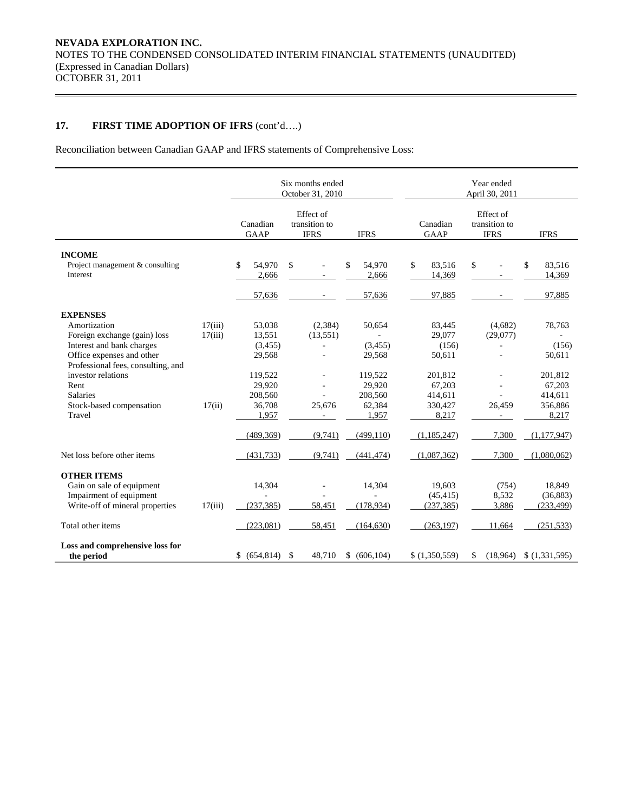# **17. FIRST TIME ADOPTION OF IFRS** (cont'd….)

Reconciliation between Canadian GAAP and IFRS statements of Comprehensive Loss:

|                                                                           |                         |                                           | Six months ended<br>October 31, 2010 |                              | Year ended<br>April 30, 2011              |                     |                              |  |  |  |  |  |
|---------------------------------------------------------------------------|-------------------------|-------------------------------------------|--------------------------------------|------------------------------|-------------------------------------------|---------------------|------------------------------|--|--|--|--|--|
|                                                                           | Canadian<br><b>GAAP</b> | Effect of<br>transition to<br><b>IFRS</b> | <b>IFRS</b>                          | Canadian<br><b>GAAP</b>      | Effect of<br>transition to<br><b>IFRS</b> |                     |                              |  |  |  |  |  |
| <b>INCOME</b><br>Project management & consulting                          |                         | \$<br>54.970                              | $\mathbb{S}$                         | 54.970<br>\$                 | \$<br>83.516                              | \$                  | \$<br>83.516                 |  |  |  |  |  |
| Interest                                                                  |                         | 2,666<br>57,636                           |                                      | 2,666<br>57,636              | 14,369<br>97,885                          |                     | 14,369<br>97,885             |  |  |  |  |  |
| <b>EXPENSES</b>                                                           |                         |                                           |                                      |                              |                                           |                     |                              |  |  |  |  |  |
| Amortization<br>Foreign exchange (gain) loss<br>Interest and bank charges | 17(iii)<br>17(iii)      | 53,038<br>13,551<br>(3, 455)              | (2,384)<br>(13,551)                  | 50,654<br>(3, 455)           | 83,445<br>29,077<br>(156)                 | (4,682)<br>(29,077) | 78,763<br>(156)              |  |  |  |  |  |
| Office expenses and other<br>Professional fees, consulting, and           |                         | 29,568                                    |                                      | 29,568                       | 50,611                                    |                     | 50,611                       |  |  |  |  |  |
| investor relations<br>Rent<br><b>Salaries</b>                             |                         | 119,522<br>29,920<br>208,560              |                                      | 119,522<br>29.920<br>208,560 | 201,812<br>67,203<br>414,611              |                     | 201,812<br>67,203<br>414,611 |  |  |  |  |  |
| Stock-based compensation<br>Travel                                        | 17(ii)                  | 36,708<br>1,957                           | 25,676                               | 62,384<br>1,957              | 330,427<br>8,217                          | 26,459              | 356,886<br>8,217             |  |  |  |  |  |
|                                                                           |                         | (489, 369)                                | (9,741)                              | (499, 110)                   | (1, 185, 247)                             | 7,300               | (1,177,947)                  |  |  |  |  |  |
| Net loss before other items                                               |                         | (431, 733)                                | (9,741)                              | (441, 474)                   | (1,087,362)                               | 7,300               | (1,080,062)                  |  |  |  |  |  |
| <b>OTHER ITEMS</b><br>Gain on sale of equipment                           |                         | 14,304                                    |                                      | 14,304                       | 19,603                                    | (754)               | 18,849                       |  |  |  |  |  |
| Impairment of equipment<br>Write-off of mineral properties                | 17(iii)                 | (237, 385)                                | 58,451                               | (178, 934)                   | (45, 415)<br>(237, 385)                   | 8,532<br>3,886      | (36, 883)<br>(233, 499)      |  |  |  |  |  |
| Total other items                                                         |                         | (223,081)                                 | 58,451                               | (164, 630)                   | (263, 197)                                | 11,664              | (251, 533)                   |  |  |  |  |  |
| Loss and comprehensive loss for<br>the period                             |                         | \$ (654,814)                              | \$<br>48,710                         | \$ (606, 104)                | \$(1,350,559)                             | (18,964)<br>\$      | \$(1,331,595)                |  |  |  |  |  |